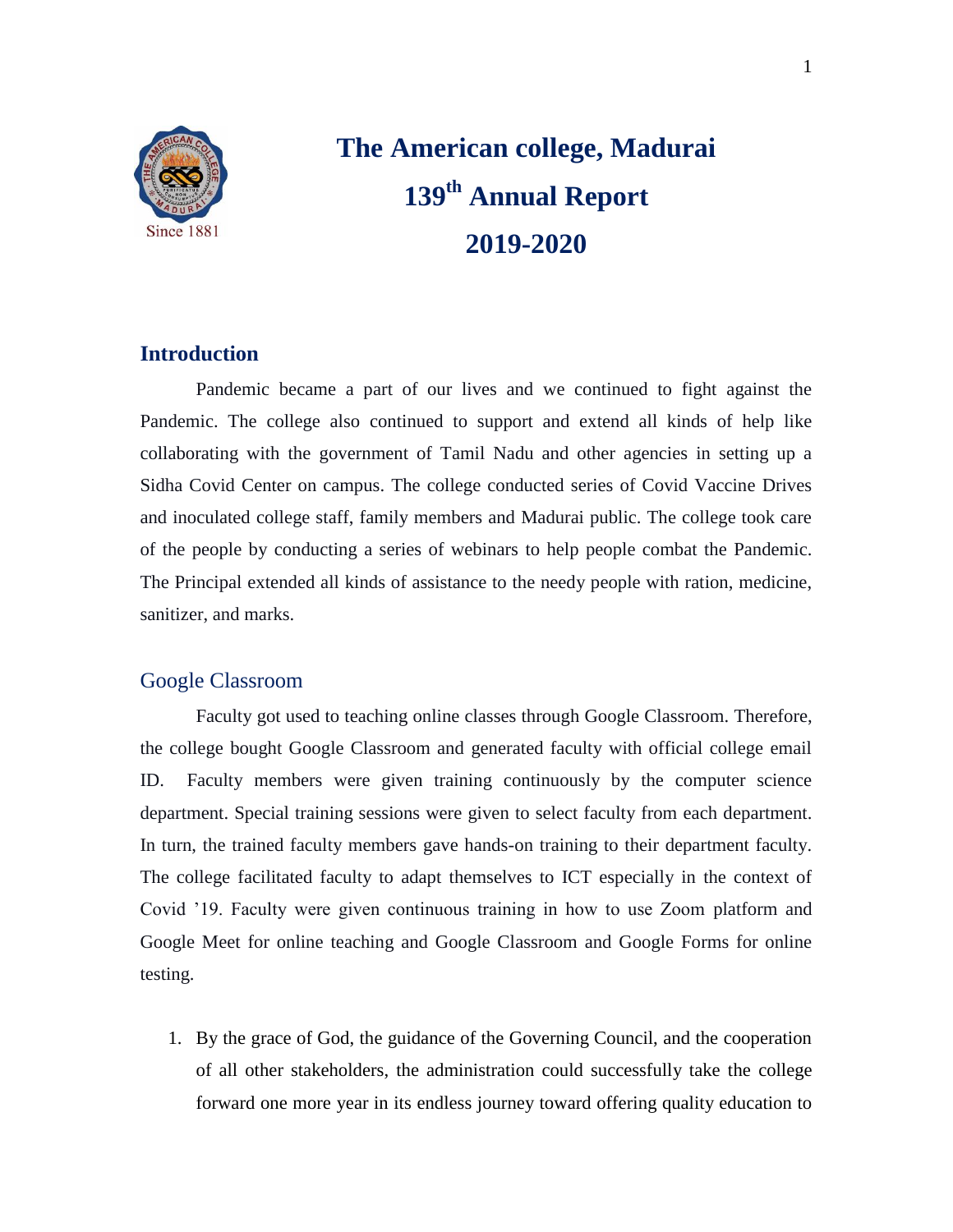

# **The American college, Madurai 139th Annual Report 2019-2020**

# **Introduction**

Pandemic became a part of our lives and we continued to fight against the Pandemic. The college also continued to support and extend all kinds of help like collaborating with the government of Tamil Nadu and other agencies in setting up a Sidha Covid Center on campus. The college conducted series of Covid Vaccine Drives and inoculated college staff, family members and Madurai public. The college took care of the people by conducting a series of webinars to help people combat the Pandemic. The Principal extended all kinds of assistance to the needy people with ration, medicine, sanitizer, and marks.

# Google Classroom

Faculty got used to teaching online classes through Google Classroom. Therefore, the college bought Google Classroom and generated faculty with official college email ID. Faculty members were given training continuously by the computer science department. Special training sessions were given to select faculty from each department. In turn, the trained faculty members gave hands-on training to their department faculty. The college facilitated faculty to adapt themselves to ICT especially in the context of Covid "19. Faculty were given continuous training in how to use Zoom platform and Google Meet for online teaching and Google Classroom and Google Forms for online testing.

1. By the grace of God, the guidance of the Governing Council, and the cooperation of all other stakeholders, the administration could successfully take the college forward one more year in its endless journey toward offering quality education to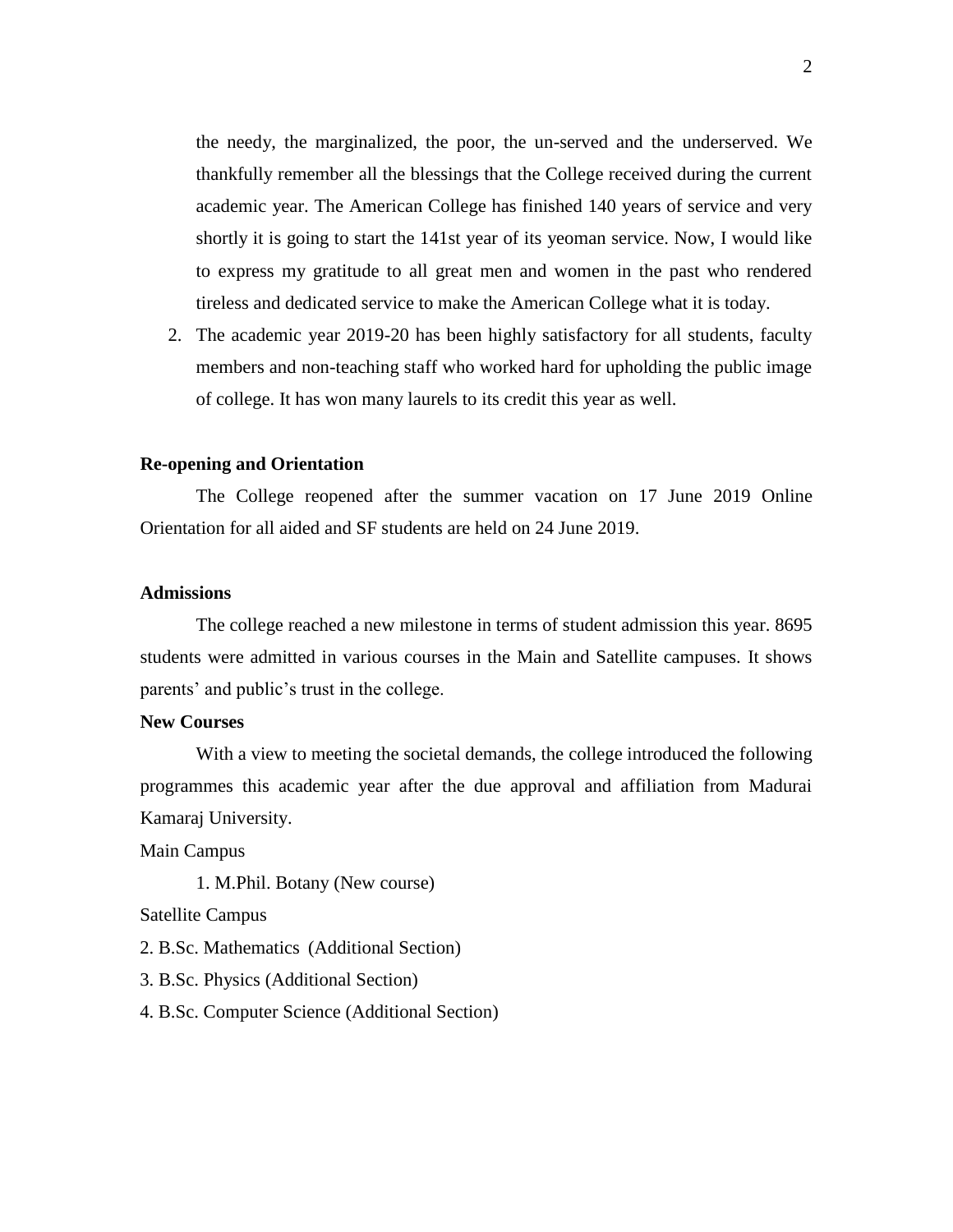the needy, the marginalized, the poor, the un-served and the underserved. We thankfully remember all the blessings that the College received during the current academic year. The American College has finished 140 years of service and very shortly it is going to start the 141st year of its yeoman service. Now, I would like to express my gratitude to all great men and women in the past who rendered tireless and dedicated service to make the American College what it is today.

2. The academic year 2019-20 has been highly satisfactory for all students, faculty members and non-teaching staff who worked hard for upholding the public image of college. It has won many laurels to its credit this year as well.

#### **Re-opening and Orientation**

The College reopened after the summer vacation on 17 June 2019 Online Orientation for all aided and SF students are held on 24 June 2019.

# **Admissions**

The college reached a new milestone in terms of student admission this year. 8695 students were admitted in various courses in the Main and Satellite campuses. It shows parents' and public's trust in the college.

#### **New Courses**

With a view to meeting the societal demands, the college introduced the following programmes this academic year after the due approval and affiliation from Madurai Kamaraj University.

Main Campus

1. M.Phil. Botany (New course)

Satellite Campus

2. B.Sc. Mathematics (Additional Section)

3. B.Sc. Physics (Additional Section)

4. B.Sc. Computer Science (Additional Section)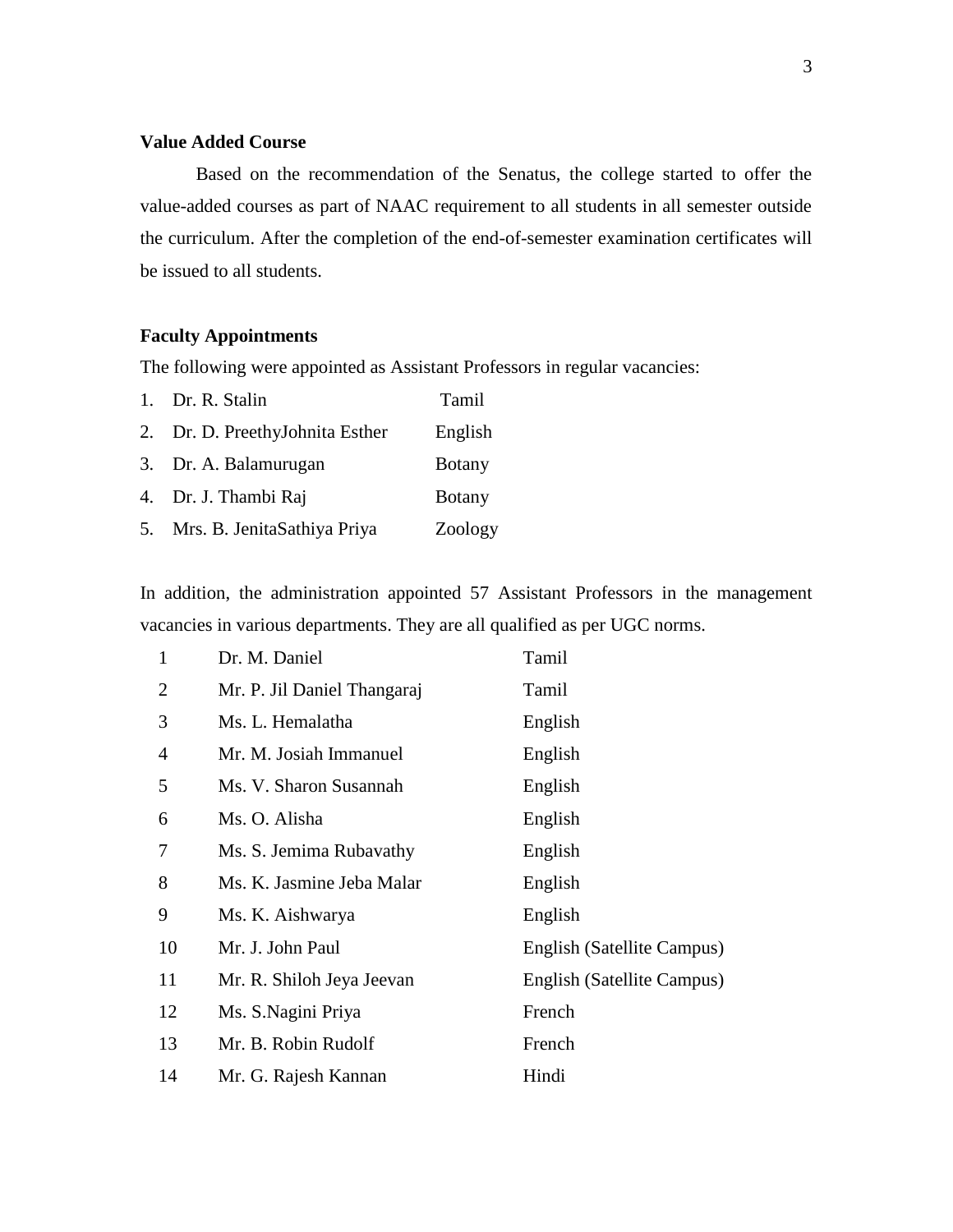# **Value Added Course**

Based on the recommendation of the Senatus, the college started to offer the value-added courses as part of NAAC requirement to all students in all semester outside the curriculum. After the completion of the end-of-semester examination certificates will be issued to all students.

# **Faculty Appointments**

The following were appointed as Assistant Professors in regular vacancies:

| 1. Dr. R. Stalin                | Tamil         |
|---------------------------------|---------------|
| 2. Dr. D. PreethyJohnita Esther | English       |
| 3. Dr. A. Balamurugan           | <b>Botany</b> |
| 4. Dr. J. Thambi Raj            | <b>Botany</b> |
| 5. Mrs. B. JenitaSathiya Priya  | Zoology       |

In addition, the administration appointed 57 Assistant Professors in the management vacancies in various departments. They are all qualified as per UGC norms.

| $\mathbf{1}$ | Dr. M. Daniel               | Tamil                      |
|--------------|-----------------------------|----------------------------|
| 2            | Mr. P. Jil Daniel Thangaraj | Tamil                      |
| 3            | Ms. L. Hemalatha            | English                    |
| 4            | Mr. M. Josiah Immanuel      | English                    |
| 5            | Ms. V. Sharon Susannah      | English                    |
| 6            | Ms. O. Alisha               | English                    |
| 7            | Ms. S. Jemima Rubavathy     | English                    |
| 8            | Ms. K. Jasmine Jeba Malar   | English                    |
| 9            | Ms. K. Aishwarya            | English                    |
| 10           | Mr. J. John Paul            | English (Satellite Campus) |
| 11           | Mr. R. Shiloh Jeya Jeevan   | English (Satellite Campus) |
| 12           | Ms. S. Nagini Priya         | French                     |
| 13           | Mr. B. Robin Rudolf         | French                     |
| 14           | Mr. G. Rajesh Kannan        | Hindi                      |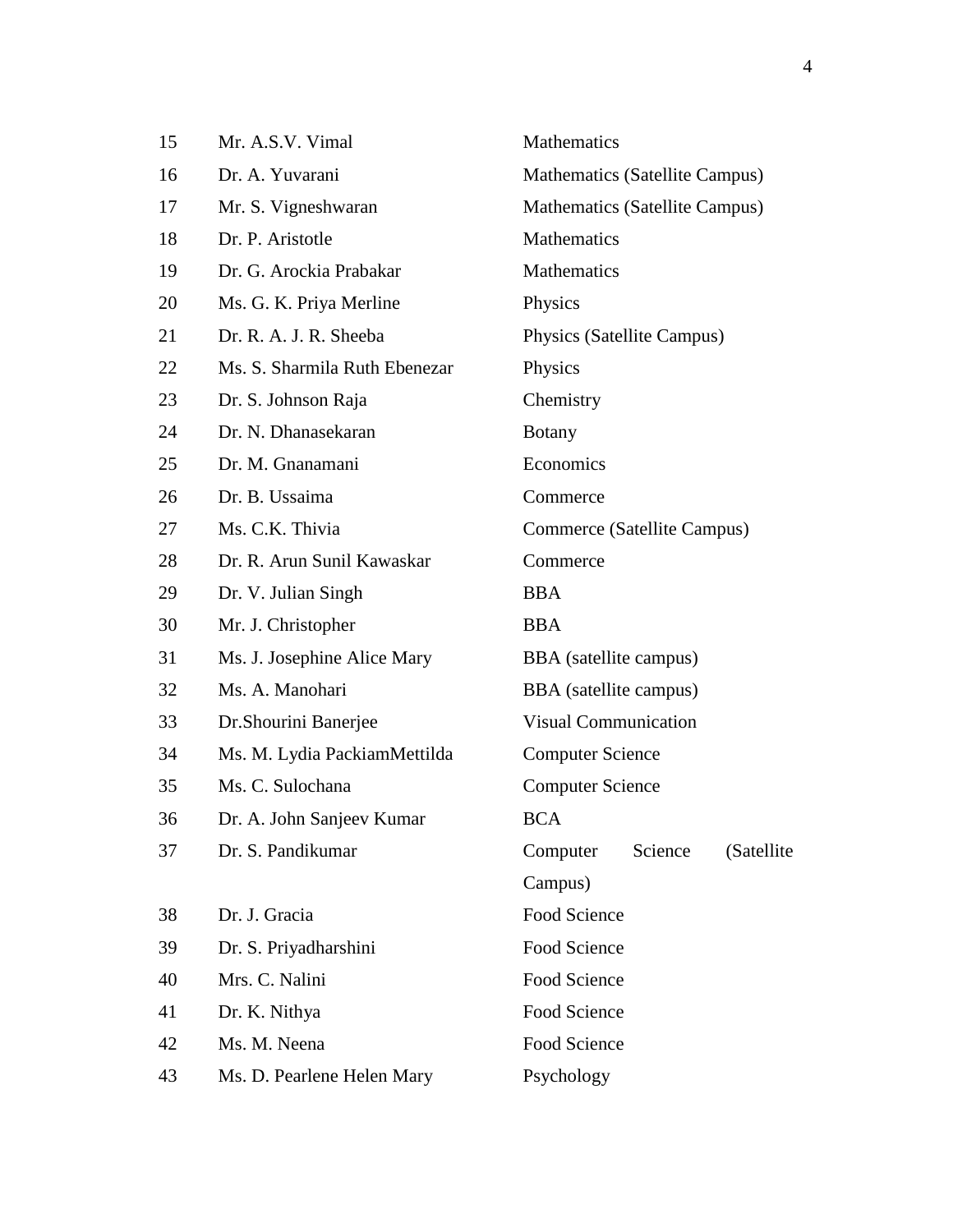| 15 | Mr. A.S.V. Vimal              | Mathematics                       |  |
|----|-------------------------------|-----------------------------------|--|
| 16 | Dr. A. Yuvarani               | Mathematics (Satellite Campus)    |  |
| 17 | Mr. S. Vigneshwaran           | Mathematics (Satellite Campus)    |  |
| 18 | Dr. P. Aristotle              | Mathematics                       |  |
| 19 | Dr. G. Arockia Prabakar       | Mathematics                       |  |
| 20 | Ms. G. K. Priya Merline       | Physics                           |  |
| 21 | Dr. R. A. J. R. Sheeba        | Physics (Satellite Campus)        |  |
| 22 | Ms. S. Sharmila Ruth Ebenezar | Physics                           |  |
| 23 | Dr. S. Johnson Raja           | Chemistry                         |  |
| 24 | Dr. N. Dhanasekaran           | <b>Botany</b>                     |  |
| 25 | Dr. M. Gnanamani              | Economics                         |  |
| 26 | Dr. B. Ussaima                | Commerce                          |  |
| 27 | Ms. C.K. Thivia               | Commerce (Satellite Campus)       |  |
| 28 | Dr. R. Arun Sunil Kawaskar    | Commerce                          |  |
| 29 | Dr. V. Julian Singh           | <b>BBA</b>                        |  |
| 30 | Mr. J. Christopher            | <b>BBA</b>                        |  |
| 31 | Ms. J. Josephine Alice Mary   | BBA (satellite campus)            |  |
| 32 | Ms. A. Manohari               | BBA (satellite campus)            |  |
| 33 | Dr. Shourini Banerjee         | <b>Visual Communication</b>       |  |
| 34 | Ms. M. Lydia PackiamMettilda  | <b>Computer Science</b>           |  |
| 35 | Ms. C. Sulochana              | <b>Computer Science</b>           |  |
| 36 | Dr. A. John Sanjeev Kumar     | <b>BCA</b>                        |  |
| 37 | Dr. S. Pandikumar             | Computer<br>Science<br>(Satellite |  |
|    |                               | Campus)                           |  |
| 38 | Dr. J. Gracia                 | Food Science                      |  |
| 39 | Dr. S. Priyadharshini         | Food Science                      |  |
| 40 | Mrs. C. Nalini                | Food Science                      |  |
| 41 | Dr. K. Nithya                 | Food Science                      |  |
| 42 | Ms. M. Neena                  | Food Science                      |  |
| 43 | Ms. D. Pearlene Helen Mary    | Psychology                        |  |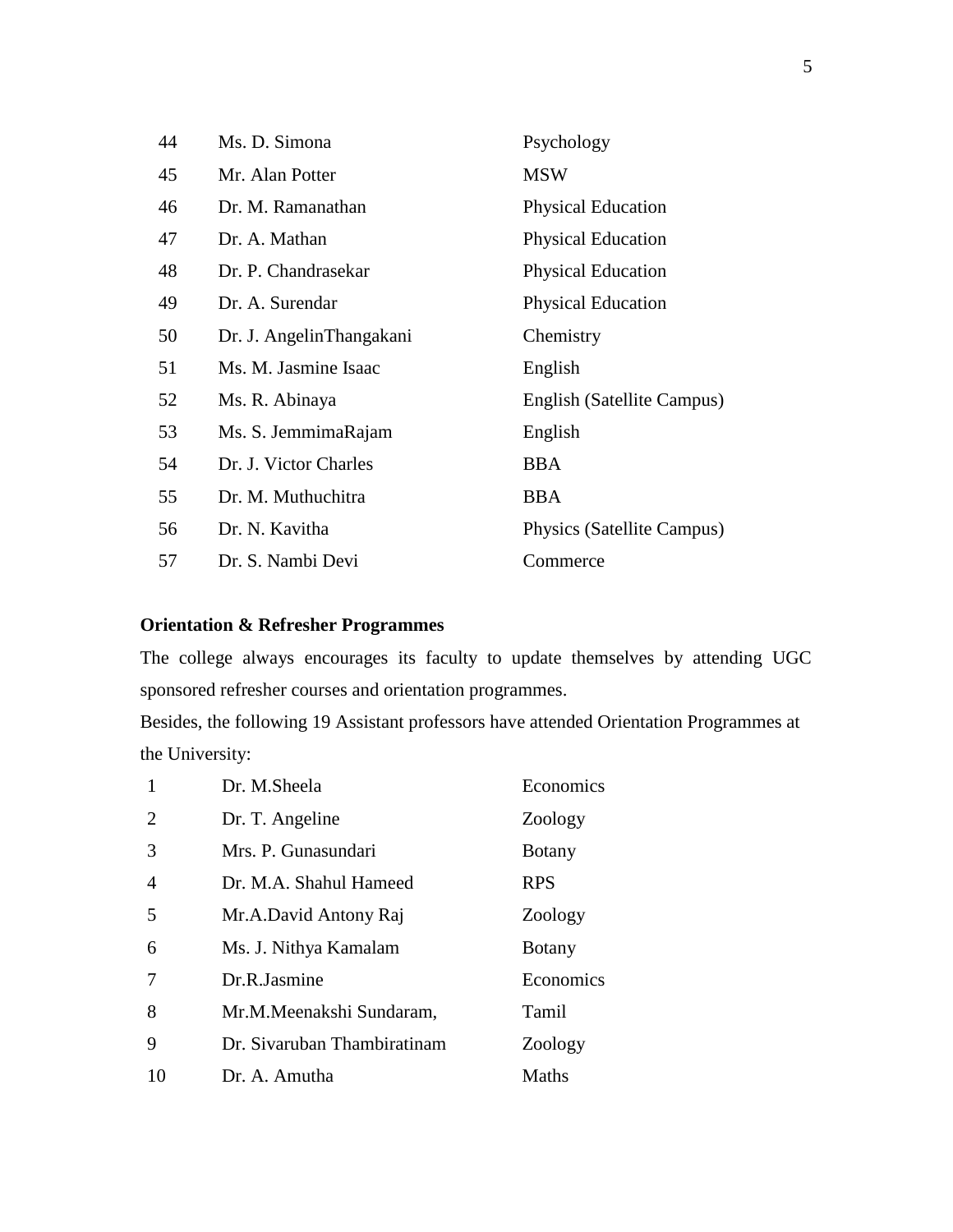| 44 | Ms. D. Simona            | Psychology                 |
|----|--------------------------|----------------------------|
| 45 | Mr. Alan Potter          | <b>MSW</b>                 |
| 46 | Dr. M. Ramanathan        | <b>Physical Education</b>  |
| 47 | Dr. A. Mathan            | <b>Physical Education</b>  |
| 48 | Dr. P. Chandrasekar      | <b>Physical Education</b>  |
| 49 | Dr. A. Surendar          | <b>Physical Education</b>  |
| 50 | Dr. J. AngelinThangakani | Chemistry                  |
| 51 | Ms. M. Jasmine Isaac     | English                    |
| 52 | Ms. R. Abinaya           | English (Satellite Campus) |
| 53 | Ms. S. JemmimaRajam      | English                    |
| 54 | Dr. J. Victor Charles    | <b>BBA</b>                 |
| 55 | Dr. M. Muthuchitra       | <b>BBA</b>                 |
| 56 | Dr. N. Kavitha           | Physics (Satellite Campus) |
| 57 | Dr. S. Nambi Devi        | Commerce                   |

# **Orientation & Refresher Programmes**

The college always encourages its faculty to update themselves by attending UGC sponsored refresher courses and orientation programmes.

Besides, the following 19 Assistant professors have attended Orientation Programmes at the University:

| 1              | Dr. M.Sheela                | Economics     |
|----------------|-----------------------------|---------------|
| $\overline{2}$ | Dr. T. Angeline             | Zoology       |
| 3              | Mrs. P. Gunasundari         | <b>Botany</b> |
| $\overline{4}$ | Dr. M.A. Shahul Hameed      | <b>RPS</b>    |
| 5              | Mr.A.David Antony Raj       | Zoology       |
| 6              | Ms. J. Nithya Kamalam       | <b>Botany</b> |
| 7              | Dr.R.Jasmine                | Economics     |
| 8              | Mr.M.Meenakshi Sundaram,    | Tamil         |
| 9              | Dr. Sivaruban Thambiratinam | Zoology       |
| 10             | Dr. A. Amutha               | Maths         |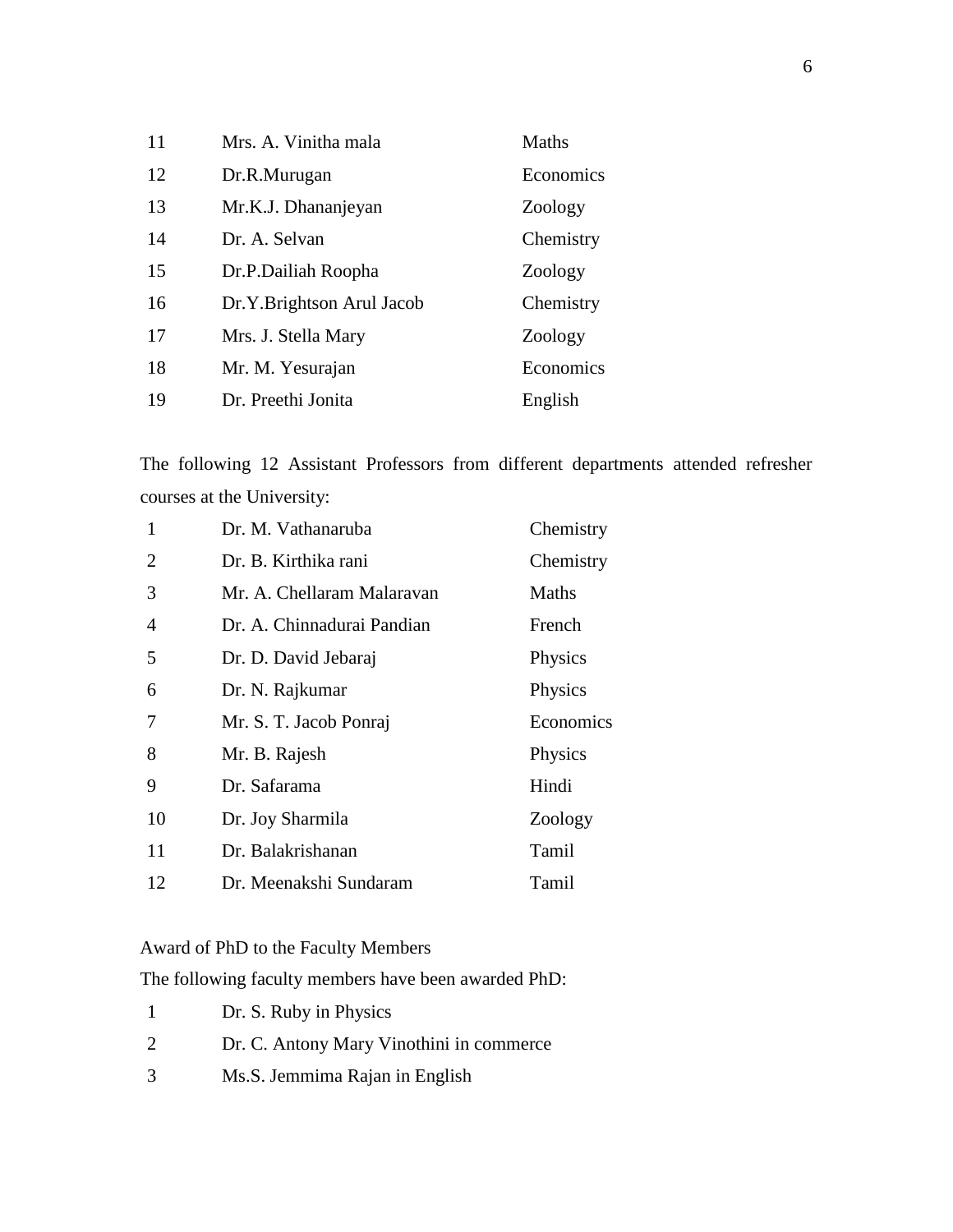| 11 | Mrs. A. Vinitha mala      | Maths     |
|----|---------------------------|-----------|
| 12 | Dr.R.Murugan              | Economics |
| 13 | Mr.K.J. Dhananjeyan       | Zoology   |
| 14 | Dr. A. Selvan             | Chemistry |
| 15 | Dr.P.Dailiah Roopha       | Zoology   |
| 16 | Dr.Y.Brightson Arul Jacob | Chemistry |
| 17 | Mrs. J. Stella Mary       | Zoology   |
| 18 | Mr. M. Yesurajan          | Economics |
| 19 | Dr. Preethi Jonita        | English   |

The following 12 Assistant Professors from different departments attended refresher courses at the University:

| 1              | Dr. M. Vathanaruba         | Chemistry |
|----------------|----------------------------|-----------|
| $\overline{2}$ | Dr. B. Kirthika rani       | Chemistry |
| 3              | Mr. A. Chellaram Malaravan | Maths     |
| 4              | Dr. A. Chinnadurai Pandian | French    |
| 5              | Dr. D. David Jebaraj       | Physics   |
| 6              | Dr. N. Rajkumar            | Physics   |
| 7              | Mr. S. T. Jacob Ponraj     | Economics |
| 8              | Mr. B. Rajesh              | Physics   |
| 9              | Dr. Safarama               | Hindi     |
| 10             | Dr. Joy Sharmila           | Zoology   |
| 11             | Dr. Balakrishanan          | Tamil     |
| 12             | Dr. Meenakshi Sundaram     | Tamil     |

Award of PhD to the Faculty Members

The following faculty members have been awarded PhD:

- Dr. S. Ruby in Physics
- Dr. C. Antony Mary Vinothini in commerce
- Ms.S. Jemmima Rajan in English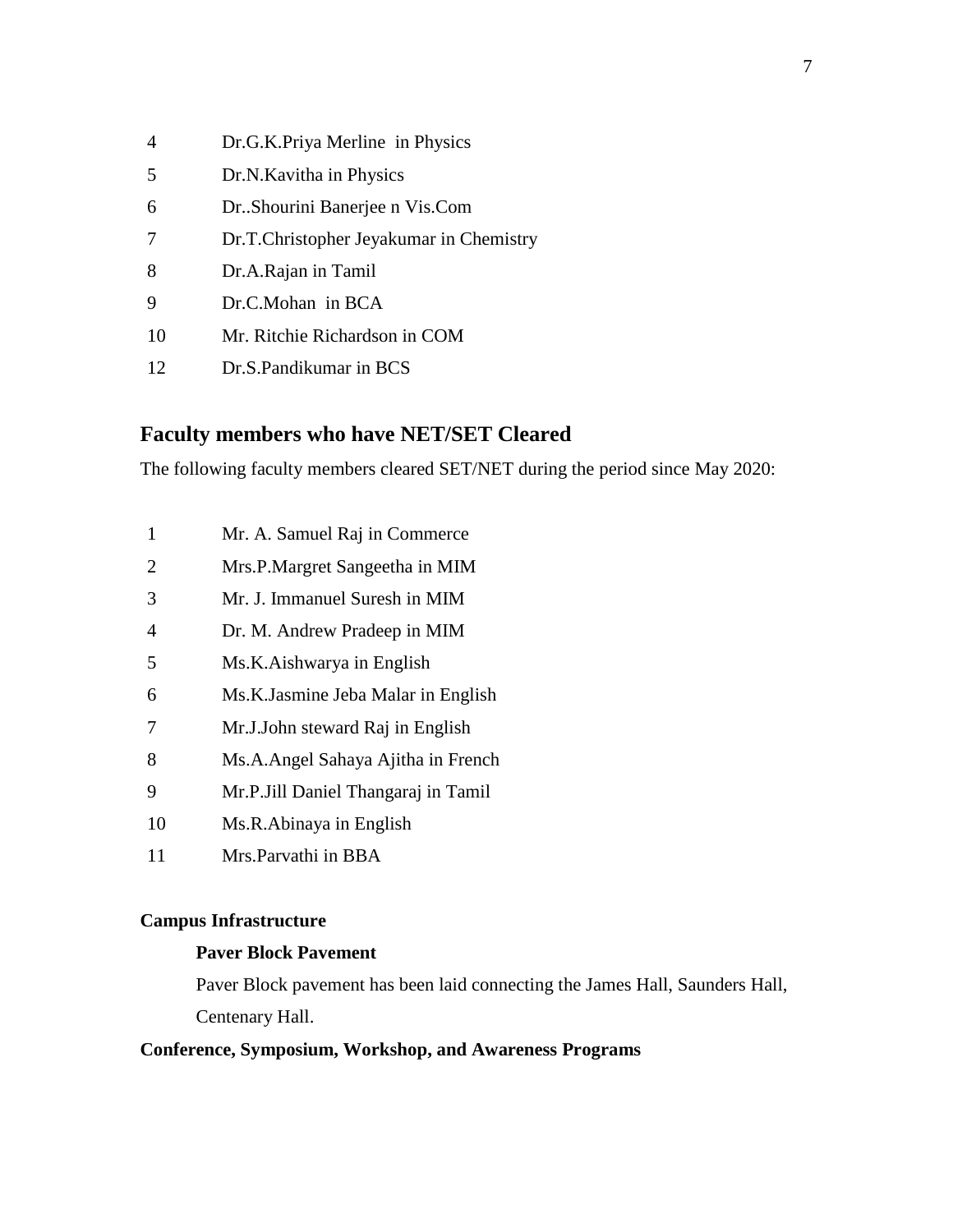| $\overline{4}$ | Dr.G.K.Priya Merline in Physics         |
|----------------|-----------------------------------------|
| 5              | Dr.N. Kavitha in Physics                |
| 6              | Dr. Shourini Banerjee n Vis. Com        |
| 7              | Dr.T.Christopher Jeyakumar in Chemistry |
| 8              | Dr.A.Rajan in Tamil                     |
| 9              | Dr.C.Mohan in BCA                       |
| 10             | Mr. Ritchie Richardson in COM           |
| 12             | Dr.S.Pandikumar in BCS                  |

# **Faculty members who have NET/SET Cleared**

The following faculty members cleared SET/NET during the period since May 2020:

- Mr. A. Samuel Raj in Commerce
- Mrs.P.Margret Sangeetha in MIM
- Mr. J. Immanuel Suresh in MIM
- Dr. M. Andrew Pradeep in MIM
- Ms.K.Aishwarya in English
- Ms.K.Jasmine Jeba Malar in English
- Mr.J.John steward Raj in English
- Ms.A.Angel Sahaya Ajitha in French
- Mr.P.Jill Daniel Thangaraj in Tamil
- Ms.R.Abinaya in English
- Mrs.Parvathi in BBA

# **Campus Infrastructure**

# **Paver Block Pavement**

Paver Block pavement has been laid connecting the James Hall, Saunders Hall, Centenary Hall.

# **Conference, Symposium, Workshop, and Awareness Programs**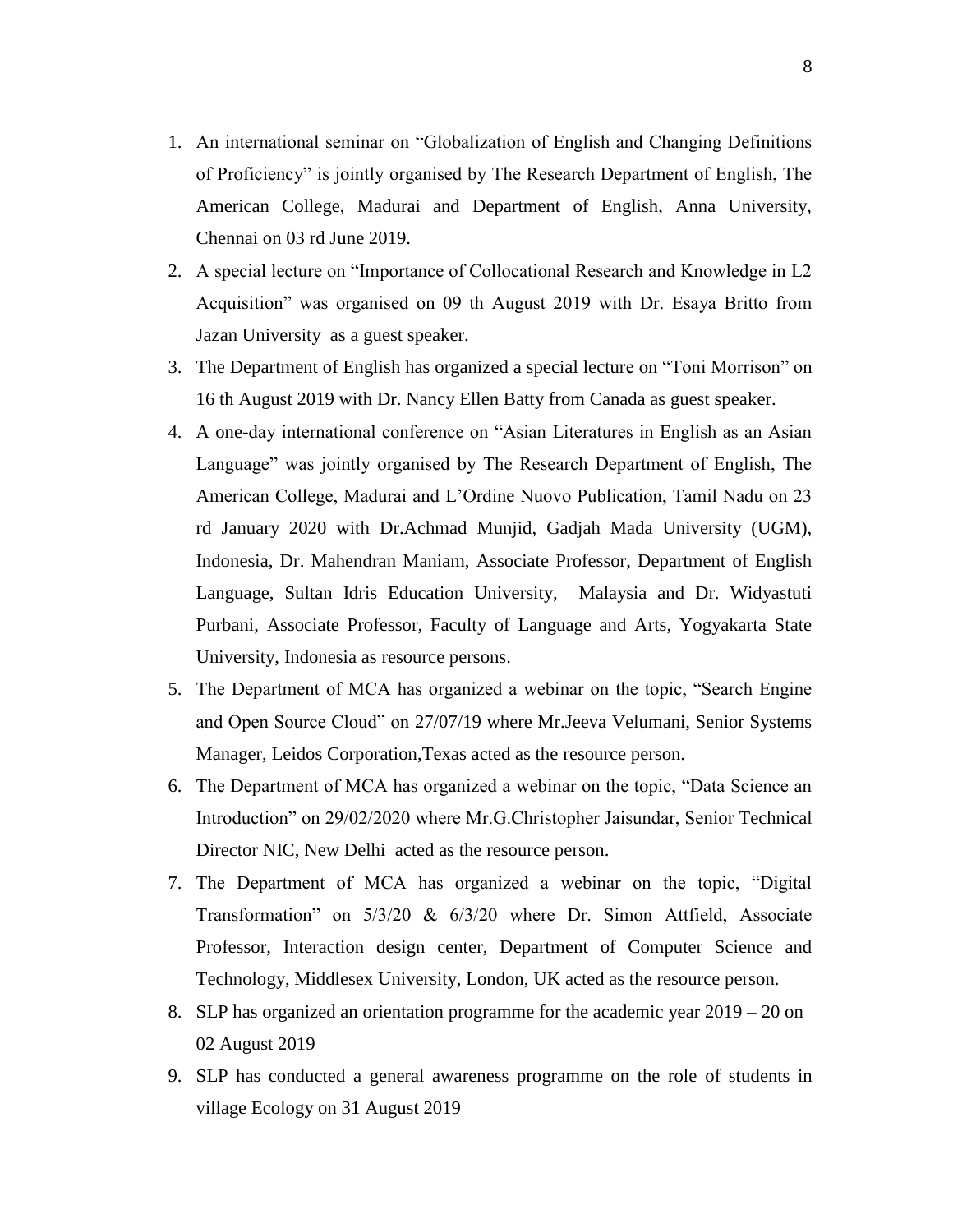- 1. An international seminar on "Globalization of English and Changing Definitions of Proficiency" is jointly organised by The Research Department of English, The American College, Madurai and Department of English, Anna University, Chennai on 03 rd June 2019.
- 2. A special lecture on "Importance of Collocational Research and Knowledge in L2 Acquisition" was organised on 09 th August 2019 with Dr. Esaya Britto from Jazan University as a guest speaker.
- 3. The Department of English has organized a special lecture on "Toni Morrison" on 16 th August 2019 with Dr. Nancy Ellen Batty from Canada as guest speaker.
- 4. A one-day international conference on "Asian Literatures in English as an Asian Language" was jointly organised by The Research Department of English, The American College, Madurai and L"Ordine Nuovo Publication, Tamil Nadu on 23 rd January 2020 with Dr.Achmad Munjid, Gadjah Mada University (UGM), Indonesia, Dr. Mahendran Maniam, Associate Professor, Department of English Language, Sultan Idris Education University, Malaysia and Dr. Widyastuti Purbani, Associate Professor, Faculty of Language and Arts, Yogyakarta State University, Indonesia as resource persons.
- 5. The Department of MCA has organized a webinar on the topic, "Search Engine and Open Source Cloud" on 27/07/19 where Mr.Jeeva Velumani, Senior Systems Manager, Leidos Corporation,Texas acted as the resource person.
- 6. The Department of MCA has organized a webinar on the topic, "Data Science an Introduction" on 29/02/2020 where Mr.G.Christopher Jaisundar, Senior Technical Director NIC, New Delhi acted as the resource person.
- 7. The Department of MCA has organized a webinar on the topic, "Digital Transformation" on 5/3/20 & 6/3/20 where Dr. Simon Attfield, Associate Professor, Interaction design center, Department of Computer Science and Technology, Middlesex University, London, UK acted as the resource person.
- 8. SLP has organized an orientation programme for the academic year 2019 20 on 02 August 2019
- 9. SLP has conducted a general awareness programme on the role of students in village Ecology on 31 August 2019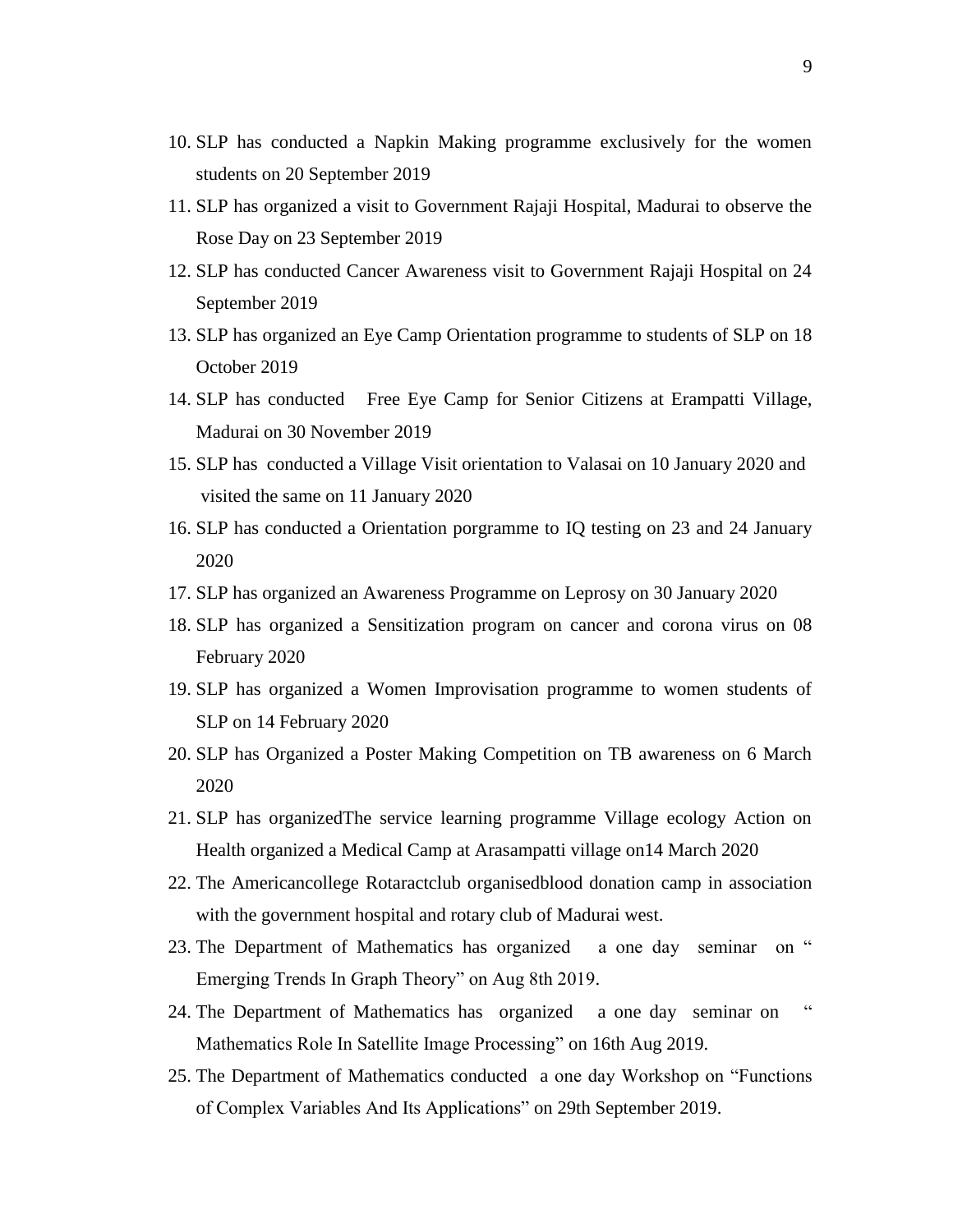- 10. SLP has conducted a Napkin Making programme exclusively for the women students on 20 September 2019
- 11. SLP has organized a visit to Government Rajaji Hospital, Madurai to observe the Rose Day on 23 September 2019
- 12. SLP has conducted Cancer Awareness visit to Government Rajaji Hospital on 24 September 2019
- 13. SLP has organized an Eye Camp Orientation programme to students of SLP on 18 October 2019
- 14. SLP has conducted Free Eye Camp for Senior Citizens at Erampatti Village, Madurai on 30 November 2019
- 15. SLP has conducted a Village Visit orientation to Valasai on 10 January 2020 and visited the same on 11 January 2020
- 16. SLP has conducted a Orientation porgramme to IQ testing on 23 and 24 January 2020
- 17. SLP has organized an Awareness Programme on Leprosy on 30 January 2020
- 18. SLP has organized a Sensitization program on cancer and corona virus on 08 February 2020
- 19. SLP has organized a Women Improvisation programme to women students of SLP on 14 February 2020
- 20. SLP has Organized a Poster Making Competition on TB awareness on 6 March 2020
- 21. SLP has organizedThe service learning programme Village ecology Action on Health organized a Medical Camp at Arasampatti village on14 March 2020
- 22. The Americancollege Rotaractclub organisedblood donation camp in association with the government hospital and rotary club of Madurai west.
- 23. The Department of Mathematics has organized a one day seminar on " Emerging Trends In Graph Theory" on Aug 8th 2019.
- 24. The Department of Mathematics has organized a one day seminar on " Mathematics Role In Satellite Image Processing" on 16th Aug 2019.
- 25. The Department of Mathematics conducted a one day Workshop on "Functions of Complex Variables And Its Applications" on 29th September 2019.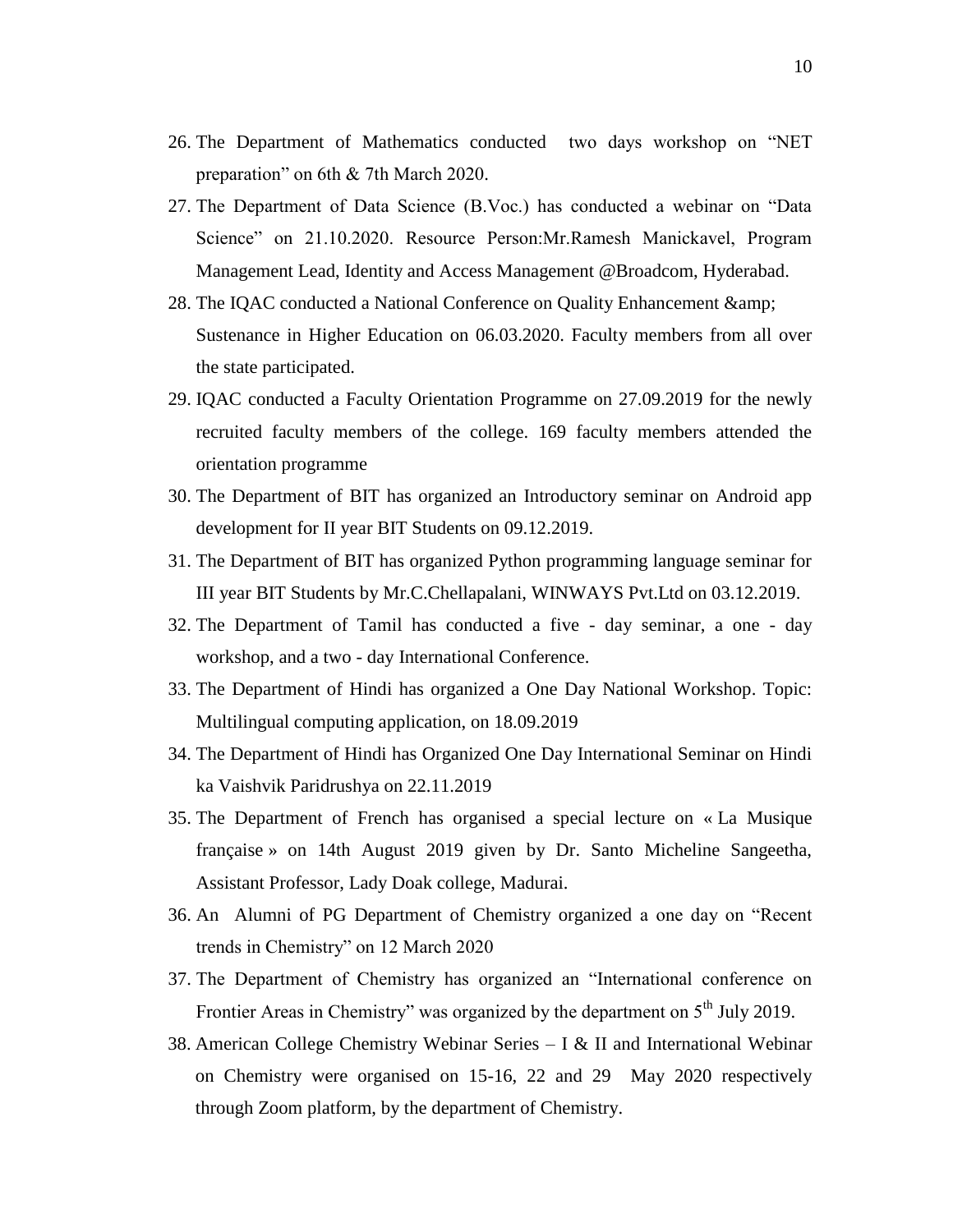- 26. The Department of Mathematics conducted two days workshop on "NET preparation" on 6th & 7th March 2020.
- 27. The Department of Data Science (B.Voc.) has conducted a webinar on "Data Science" on 21.10.2020. Resource Person:Mr.Ramesh Manickavel, Program Management Lead, Identity and Access Management @Broadcom, Hyderabad.
- 28. The IQAC conducted a National Conference on Quality Enhancement & Sustenance in Higher Education on 06.03.2020. Faculty members from all over the state participated.
- 29. IQAC conducted a Faculty Orientation Programme on 27.09.2019 for the newly recruited faculty members of the college. 169 faculty members attended the orientation programme
- 30. The Department of BIT has organized an Introductory seminar on Android app development for II year BIT Students on 09.12.2019.
- 31. The Department of BIT has organized Python programming language seminar for III year BIT Students by Mr.C.Chellapalani, WINWAYS Pvt.Ltd on 03.12.2019.
- 32. The Department of Tamil has conducted a five day seminar, a one day workshop, and a two - day International Conference.
- 33. The Department of Hindi has organized a One Day National Workshop. Topic: Multilingual computing application, on 18.09.2019
- 34. The Department of Hindi has Organized One Day International Seminar on Hindi ka Vaishvik Paridrushya on 22.11.2019
- 35. The Department of French has organised a special lecture on « La Musique française » on 14th August 2019 given by Dr. Santo Micheline Sangeetha, Assistant Professor, Lady Doak college, Madurai.
- 36. An Alumni of PG Department of Chemistry organized a one day on "Recent trends in Chemistry" on 12 March 2020
- 37. The Department of Chemistry has organized an "International conference on Frontier Areas in Chemistry" was organized by the department on 5<sup>th</sup> July 2019.
- 38. American College Chemistry Webinar Series I & II and International Webinar on Chemistry were organised on 15-16, 22 and 29 May 2020 respectively through Zoom platform, by the department of Chemistry.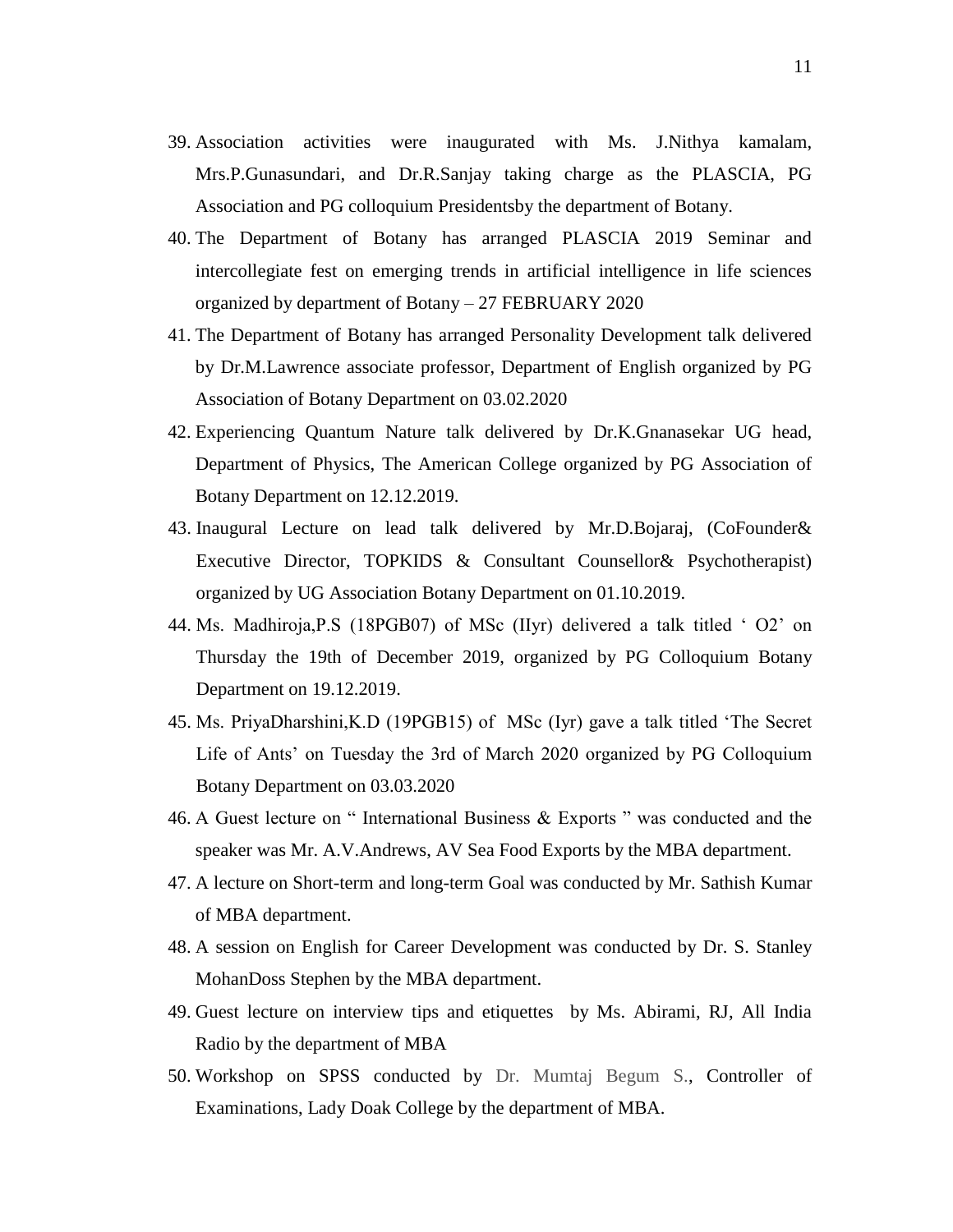- 39. Association activities were inaugurated with Ms. J.Nithya kamalam, Mrs.P.Gunasundari, and Dr.R.Sanjay taking charge as the PLASCIA, PG Association and PG colloquium Presidentsby the department of Botany.
- 40. The Department of Botany has arranged PLASCIA 2019 Seminar and intercollegiate fest on emerging trends in artificial intelligence in life sciences organized by department of Botany – 27 FEBRUARY 2020
- 41. The Department of Botany has arranged Personality Development talk delivered by Dr.M.Lawrence associate professor, Department of English organized by PG Association of Botany Department on 03.02.2020
- 42. Experiencing Quantum Nature talk delivered by Dr.K.Gnanasekar UG head, Department of Physics, The American College organized by PG Association of Botany Department on 12.12.2019.
- 43. Inaugural Lecture on lead talk delivered by Mr.D.Bojaraj, (CoFounder& Executive Director, TOPKIDS & Consultant Counsellor& Psychotherapist) organized by UG Association Botany Department on 01.10.2019.
- 44. Ms. Madhiroja,P.S (18PGB07) of MSc (IIyr) delivered a talk titled " O2" on Thursday the 19th of December 2019, organized by PG Colloquium Botany Department on 19.12.2019.
- 45. Ms. PriyaDharshini,K.D (19PGB15) of MSc (Iyr) gave a talk titled "The Secret Life of Ants' on Tuesday the 3rd of March 2020 organized by PG Colloquium Botany Department on 03.03.2020
- 46. A Guest lecture on " International Business & Exports " was conducted and the speaker was Mr. A.V.Andrews, AV Sea Food Exports by the MBA department.
- 47. A lecture on Short-term and long-term Goal was conducted by Mr. Sathish Kumar of MBA department.
- 48. A session on English for Career Development was conducted by Dr. S. Stanley MohanDoss Stephen by the MBA department.
- 49. Guest lecture on interview tips and etiquettes by Ms. Abirami, RJ, All India Radio by the department of MBA
- 50. Workshop on SPSS conducted by Dr. Mumtaj Begum S., Controller of Examinations, Lady Doak College by the department of MBA.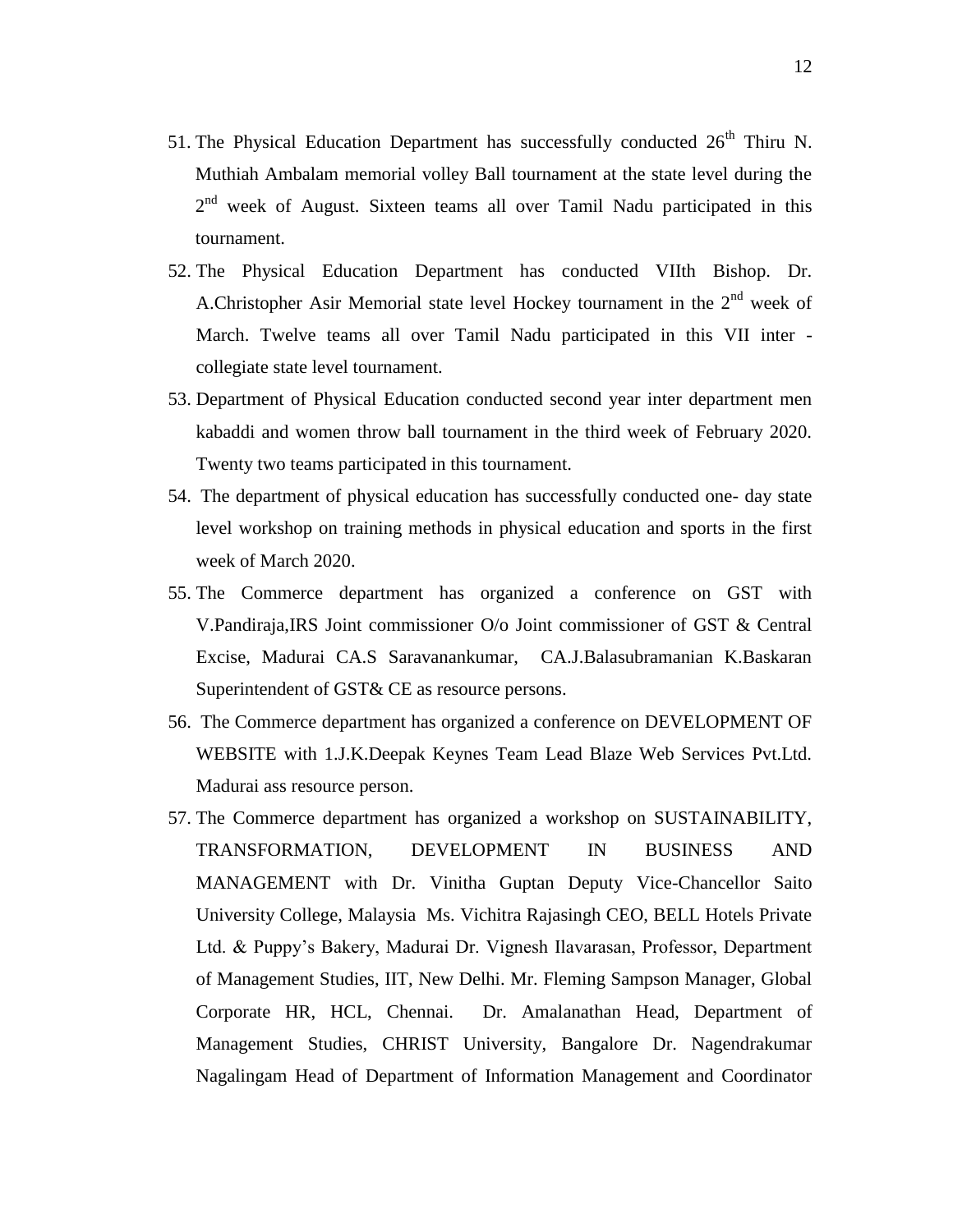- 51. The Physical Education Department has successfully conducted  $26<sup>th</sup>$  Thiru N. Muthiah Ambalam memorial volley Ball tournament at the state level during the 2<sup>nd</sup> week of August. Sixteen teams all over Tamil Nadu participated in this tournament.
- 52. The Physical Education Department has conducted VIIth Bishop. Dr. A.Christopher Asir Memorial state level Hockey tournament in the  $2<sup>nd</sup>$  week of March. Twelve teams all over Tamil Nadu participated in this VII inter collegiate state level tournament.
- 53. Department of Physical Education conducted second year inter department men kabaddi and women throw ball tournament in the third week of February 2020. Twenty two teams participated in this tournament.
- 54. The department of physical education has successfully conducted one- day state level workshop on training methods in physical education and sports in the first week of March 2020.
- 55. The Commerce department has organized a conference on GST with V.Pandiraja,IRS Joint commissioner O/o Joint commissioner of GST & Central Excise, Madurai CA.S Saravanankumar, CA.J.Balasubramanian K.Baskaran Superintendent of GST& CE as resource persons.
- 56. The Commerce department has organized a conference on DEVELOPMENT OF WEBSITE with 1.J.K.Deepak Keynes Team Lead Blaze Web Services Pvt.Ltd. Madurai ass resource person.
- 57. The Commerce department has organized a workshop on SUSTAINABILITY, TRANSFORMATION, DEVELOPMENT IN BUSINESS AND MANAGEMENT with Dr. Vinitha Guptan Deputy Vice-Chancellor Saito University College, Malaysia Ms. Vichitra Rajasingh CEO, BELL Hotels Private Ltd. & Puppy"s Bakery, Madurai Dr. Vignesh Ilavarasan, Professor, Department of Management Studies, IIT, New Delhi. Mr. Fleming Sampson Manager, Global Corporate HR, HCL, Chennai. Dr. Amalanathan Head, Department of Management Studies, CHRIST University, Bangalore Dr. Nagendrakumar Nagalingam Head of Department of Information Management and Coordinator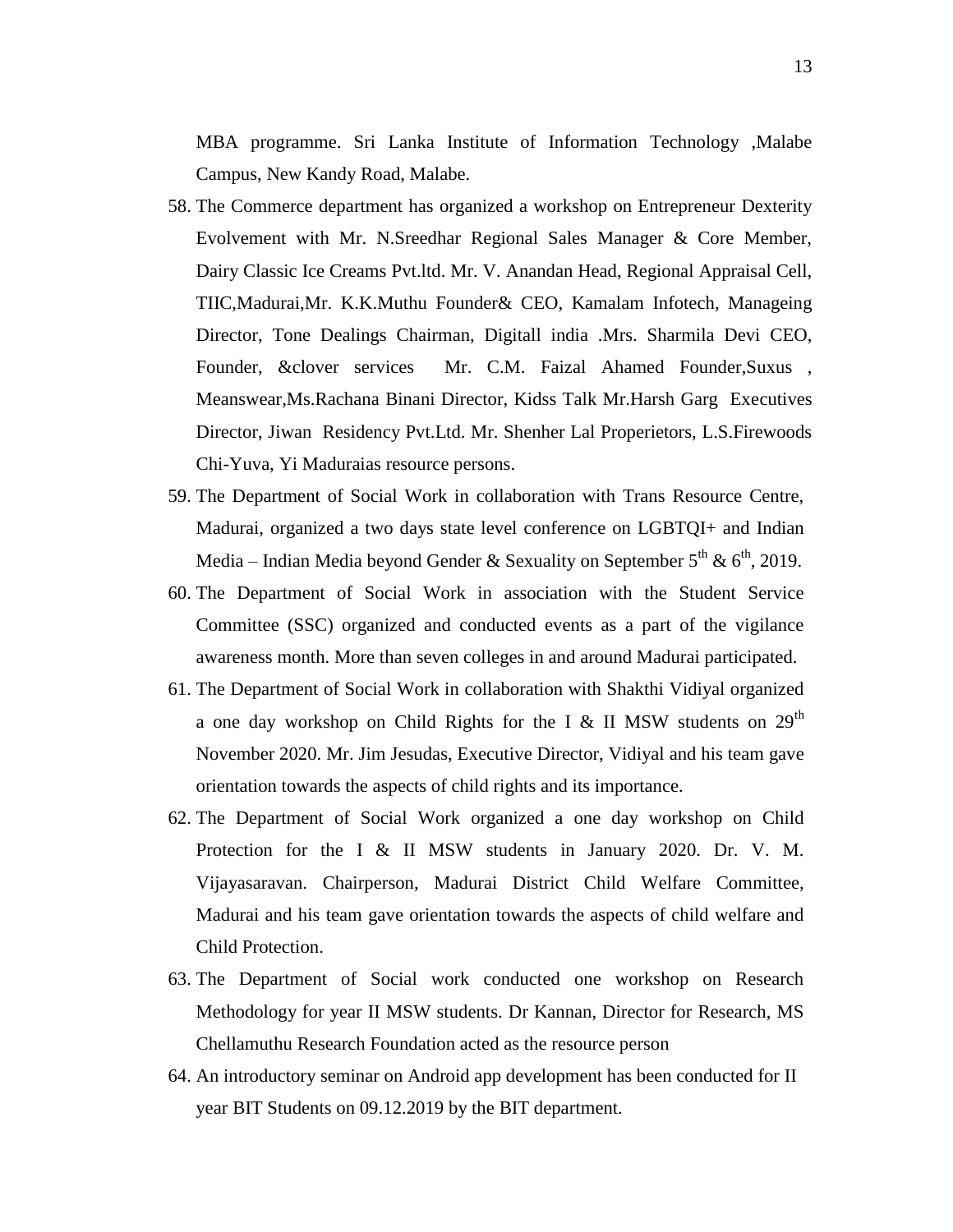MBA programme. Sri Lanka Institute of Information Technology ,Malabe Campus, New Kandy Road, Malabe.

- 58. The Commerce department has organized a workshop on Entrepreneur Dexterity Evolvement with Mr. N.Sreedhar Regional Sales Manager & Core Member, Dairy Classic Ice Creams Pvt.ltd. Mr. V. Anandan Head, Regional Appraisal Cell, TIIC,Madurai,Mr. K.K.Muthu Founder& CEO, Kamalam Infotech, Manageing Director, Tone Dealings Chairman, Digitall india .Mrs. Sharmila Devi CEO, Founder, &clover services Mr. C.M. Faizal Ahamed Founder,Suxus , Meanswear,Ms.Rachana Binani Director, Kidss Talk Mr.Harsh Garg Executives Director, Jiwan Residency Pvt.Ltd. Mr. Shenher Lal Properietors, L.S.Firewoods Chi-Yuva, Yi Maduraias resource persons.
- 59. The Department of Social Work in collaboration with Trans Resource Centre, Madurai, organized a two days state level conference on LGBTQI+ and Indian Media – Indian Media beyond Gender & Sexuality on September  $5^{th}$  &  $6^{th}$ , 2019.
- 60. The Department of Social Work in association with the Student Service Committee (SSC) organized and conducted events as a part of the vigilance awareness month. More than seven colleges in and around Madurai participated.
- 61. The Department of Social Work in collaboration with Shakthi Vidiyal organized a one day workshop on Child Rights for the I & II MSW students on  $29<sup>th</sup>$ November 2020. Mr. Jim Jesudas, Executive Director, Vidiyal and his team gave orientation towards the aspects of child rights and its importance.
- 62. The Department of Social Work organized a one day workshop on Child Protection for the I & II MSW students in January 2020. Dr. V. M. Vijayasaravan. Chairperson, Madurai District Child Welfare Committee, Madurai and his team gave orientation towards the aspects of child welfare and Child Protection.
- 63. The Department of Social work conducted one workshop on Research Methodology for year II MSW students. Dr Kannan, Director for Research, MS Chellamuthu Research Foundation acted as the resource person
- 64. An introductory seminar on Android app development has been conducted for II year BIT Students on 09.12.2019 by the BIT department.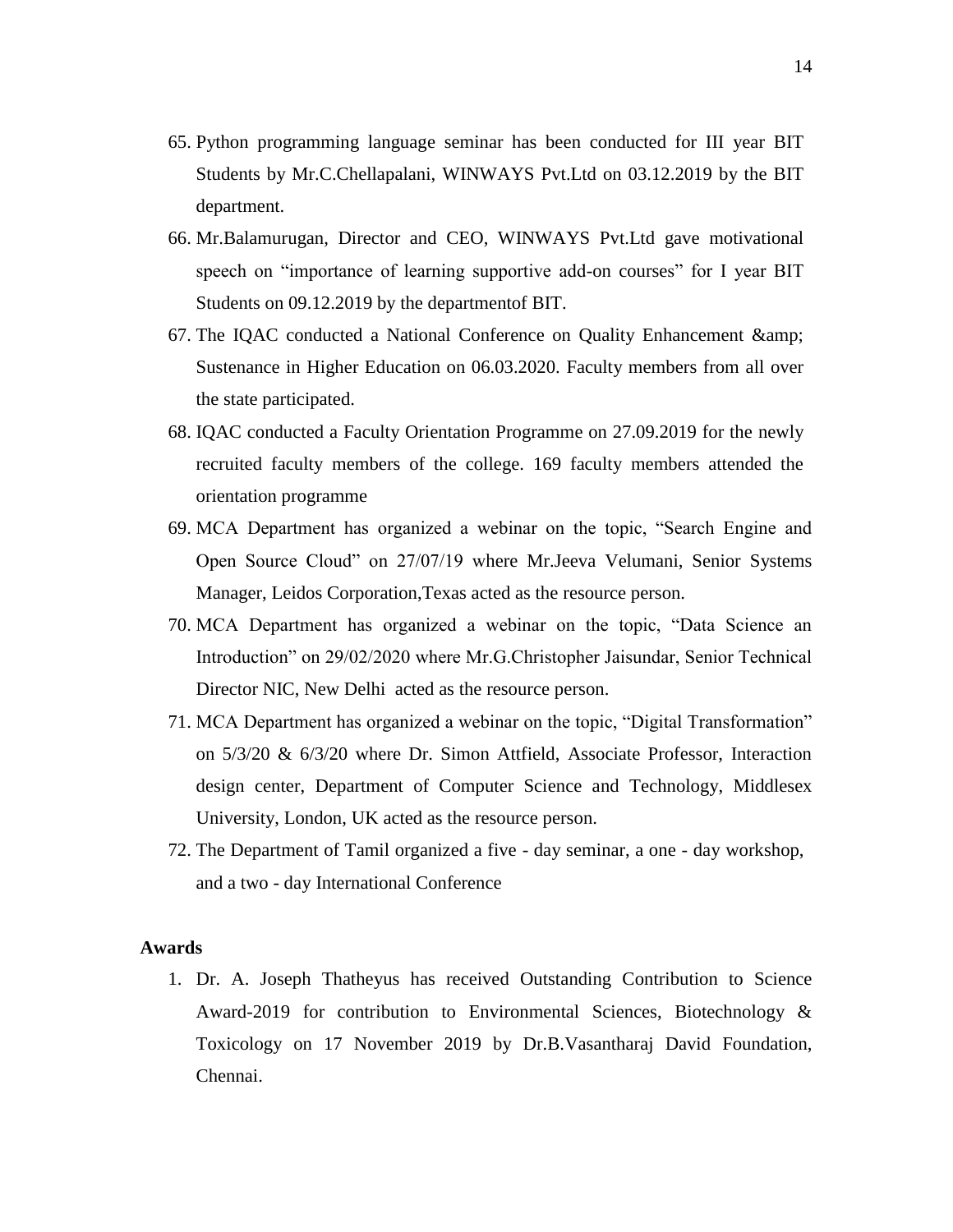- 65. Python programming language seminar has been conducted for III year BIT Students by Mr.C.Chellapalani, WINWAYS Pvt.Ltd on 03.12.2019 by the BIT department.
- 66. Mr.Balamurugan, Director and CEO, WINWAYS Pvt.Ltd gave motivational speech on "importance of learning supportive add-on courses" for I year BIT Students on 09.12.2019 by the departmentof BIT.
- 67. The IQAC conducted a National Conference on Quality Enhancement & Sustenance in Higher Education on 06.03.2020. Faculty members from all over the state participated.
- 68. IQAC conducted a Faculty Orientation Programme on 27.09.2019 for the newly recruited faculty members of the college. 169 faculty members attended the orientation programme
- 69. MCA Department has organized a webinar on the topic, "Search Engine and Open Source Cloud" on 27/07/19 where Mr.Jeeva Velumani, Senior Systems Manager, Leidos Corporation,Texas acted as the resource person.
- 70. MCA Department has organized a webinar on the topic, "Data Science an Introduction" on 29/02/2020 where Mr.G.Christopher Jaisundar, Senior Technical Director NIC, New Delhi acted as the resource person.
- 71. MCA Department has organized a webinar on the topic, "Digital Transformation" on 5/3/20 & 6/3/20 where Dr. Simon Attfield, Associate Professor, Interaction design center, Department of Computer Science and Technology, Middlesex University, London, UK acted as the resource person.
- 72. The Department of Tamil organized a five day seminar, a one day workshop, and a two - day International Conference

# **Awards**

1. Dr. A. Joseph Thatheyus has received Outstanding Contribution to Science Award-2019 for contribution to Environmental Sciences, Biotechnology & Toxicology on 17 November 2019 by Dr.B.Vasantharaj David Foundation, Chennai.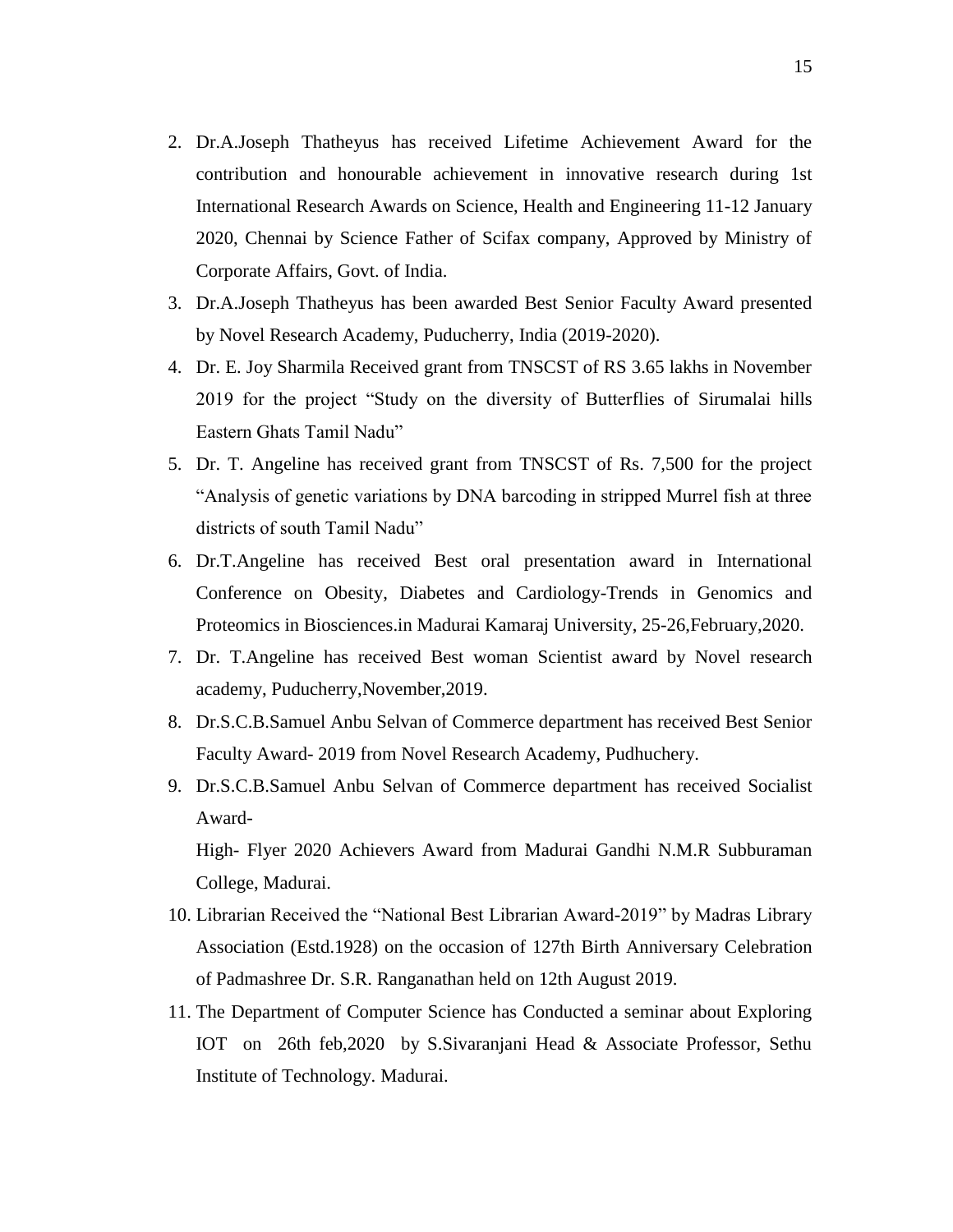- 2. Dr.A.Joseph Thatheyus has received Lifetime Achievement Award for the contribution and honourable achievement in innovative research during 1st International Research Awards on Science, Health and Engineering 11-12 January 2020, Chennai by Science Father of Scifax company, Approved by Ministry of Corporate Affairs, Govt. of India.
- 3. Dr.A.Joseph Thatheyus has been awarded Best Senior Faculty Award presented by Novel Research Academy, Puducherry, India (2019-2020).
- 4. Dr. E. Joy Sharmila Received grant from TNSCST of RS 3.65 lakhs in November 2019 for the project "Study on the diversity of Butterflies of Sirumalai hills Eastern Ghats Tamil Nadu"
- 5. Dr. T. Angeline has received grant from TNSCST of Rs. 7,500 for the project "Analysis of genetic variations by DNA barcoding in stripped Murrel fish at three districts of south Tamil Nadu"
- 6. Dr.T.Angeline has received Best oral presentation award in International Conference on Obesity, Diabetes and Cardiology-Trends in Genomics and Proteomics in Biosciences.in Madurai Kamaraj University, 25-26,February,2020.
- 7. Dr. T.Angeline has received Best woman Scientist award by Novel research academy, Puducherry,November,2019.
- 8. Dr.S.C.B.Samuel Anbu Selvan of Commerce department has received Best Senior Faculty Award- 2019 from Novel Research Academy, Pudhuchery.
- 9. Dr.S.C.B.Samuel Anbu Selvan of Commerce department has received Socialist Award-

High- Flyer 2020 Achievers Award from Madurai Gandhi N.M.R Subburaman College, Madurai.

- 10. Librarian Received the "National Best Librarian Award-2019" by Madras Library Association (Estd.1928) on the occasion of 127th Birth Anniversary Celebration of Padmashree Dr. S.R. Ranganathan held on 12th August 2019.
- 11. The Department of Computer Science has Conducted a seminar about Exploring IOT on 26th feb,2020 by S.Sivaranjani Head & Associate Professor, Sethu Institute of Technology. Madurai.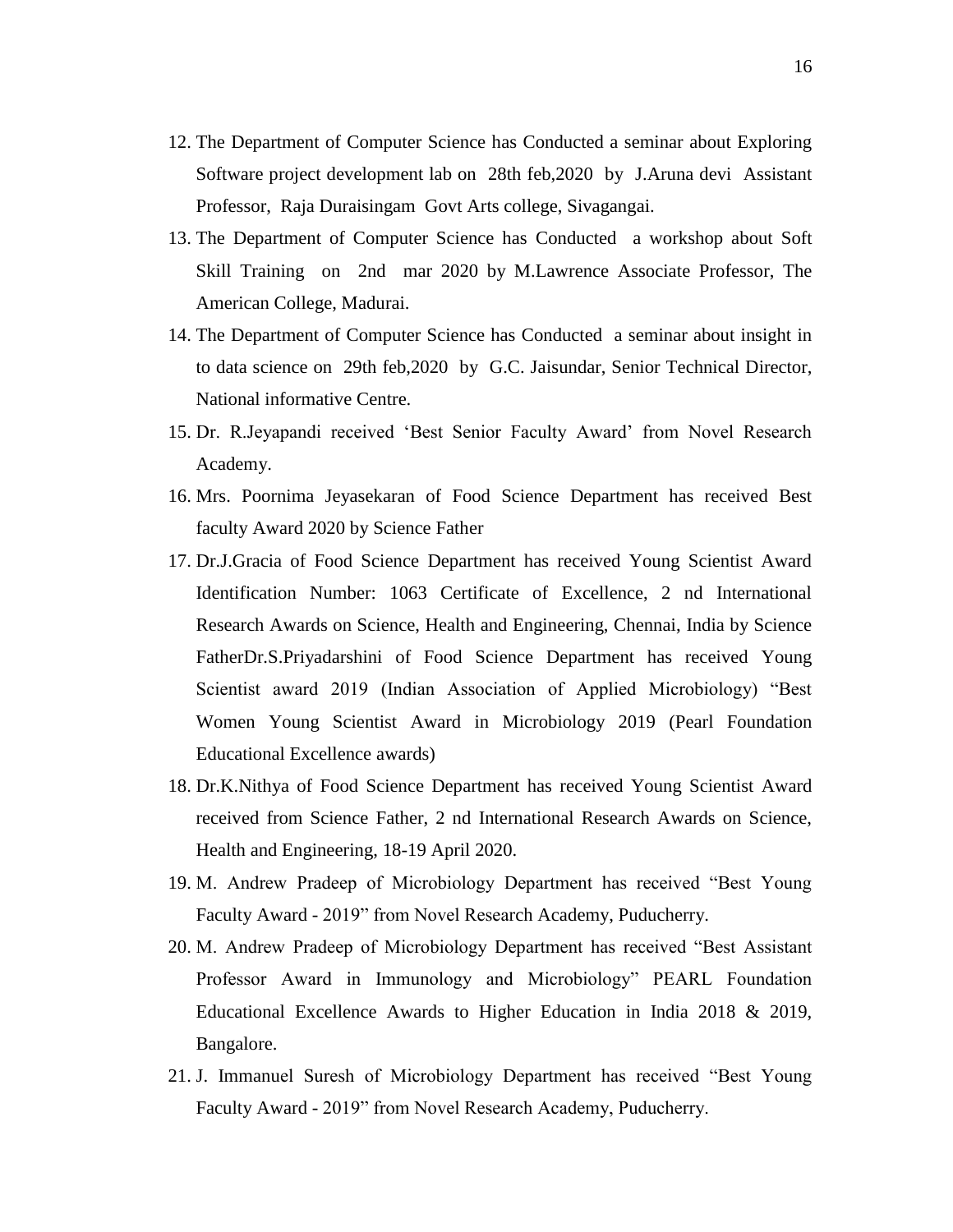- 12. The Department of Computer Science has Conducted a seminar about Exploring Software project development lab on 28th feb,2020 by J.Aruna devi Assistant Professor, Raja Duraisingam Govt Arts college, Sivagangai.
- 13. The Department of Computer Science has Conducted a workshop about Soft Skill Training on 2nd mar 2020 by M.Lawrence Associate Professor, The American College, Madurai.
- 14. The Department of Computer Science has Conducted a seminar about insight in to data science on 29th feb,2020 by G.C. Jaisundar, Senior Technical Director, National informative Centre.
- 15. Dr. R.Jeyapandi received "Best Senior Faculty Award" from Novel Research Academy.
- 16. Mrs. Poornima Jeyasekaran of Food Science Department has received Best faculty Award 2020 by Science Father
- 17. Dr.J.Gracia of Food Science Department has received Young Scientist Award Identification Number: 1063 Certificate of Excellence, 2 nd International Research Awards on Science, Health and Engineering, Chennai, India by Science FatherDr.S.Priyadarshini of Food Science Department has received Young Scientist award 2019 (Indian Association of Applied Microbiology) "Best Women Young Scientist Award in Microbiology 2019 (Pearl Foundation Educational Excellence awards)
- 18. Dr.K.Nithya of Food Science Department has received Young Scientist Award received from Science Father, 2 nd International Research Awards on Science, Health and Engineering, 18-19 April 2020.
- 19. M. Andrew Pradeep of Microbiology Department has received "Best Young Faculty Award - 2019" from Novel Research Academy, Puducherry.
- 20. M. Andrew Pradeep of Microbiology Department has received "Best Assistant Professor Award in Immunology and Microbiology" PEARL Foundation Educational Excellence Awards to Higher Education in India 2018 & 2019, Bangalore.
- 21. J. Immanuel Suresh of Microbiology Department has received "Best Young Faculty Award - 2019" from Novel Research Academy, Puducherry.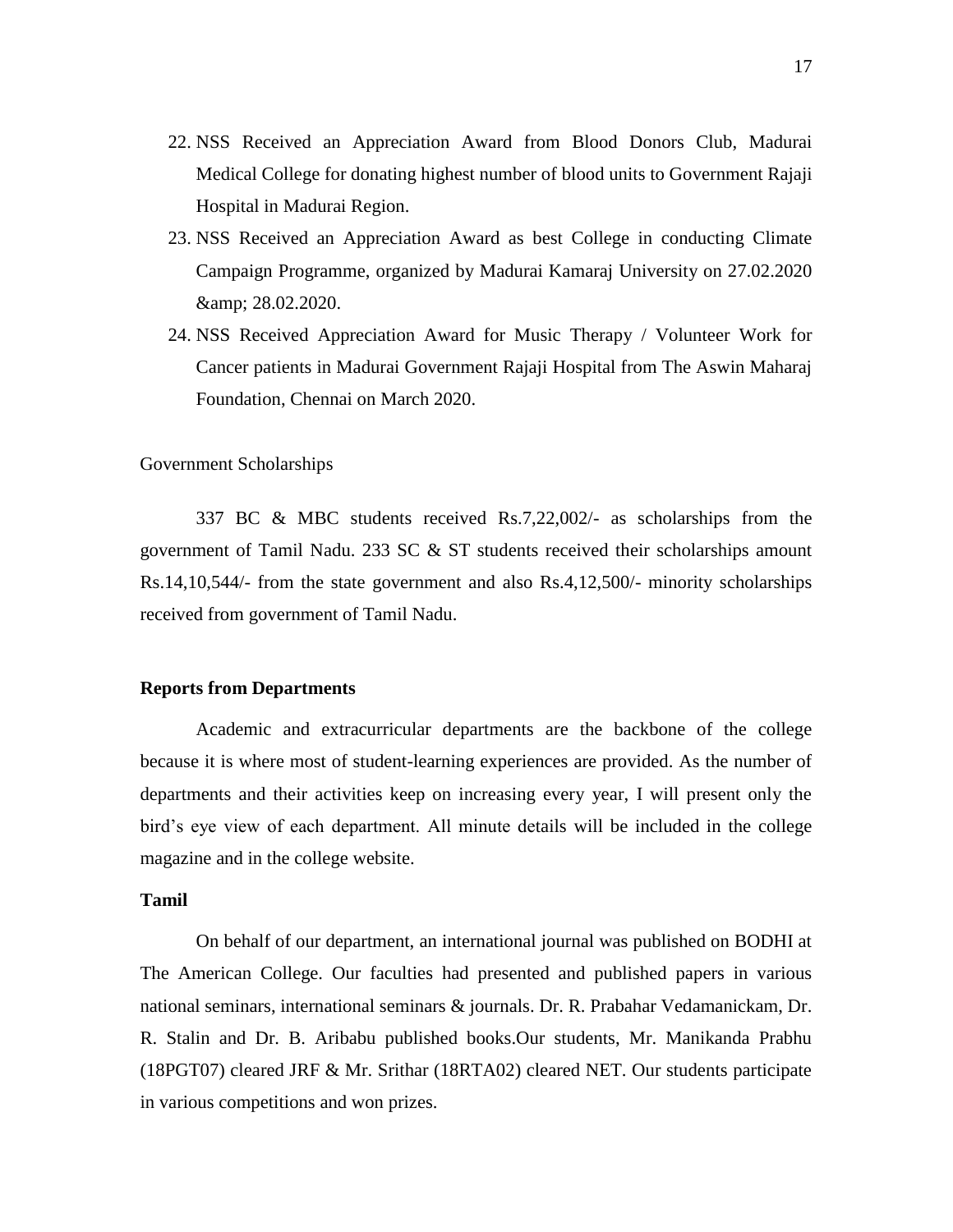- 22. NSS Received an Appreciation Award from Blood Donors Club, Madurai Medical College for donating highest number of blood units to Government Rajaji Hospital in Madurai Region.
- 23. NSS Received an Appreciation Award as best College in conducting Climate Campaign Programme, organized by Madurai Kamaraj University on 27.02.2020 & 28.02.2020.
- 24. NSS Received Appreciation Award for Music Therapy / Volunteer Work for Cancer patients in Madurai Government Rajaji Hospital from The Aswin Maharaj Foundation, Chennai on March 2020.

#### Government Scholarships

337 BC & MBC students received Rs.7,22,002/- as scholarships from the government of Tamil Nadu. 233 SC & ST students received their scholarships amount Rs.14,10,544/- from the state government and also Rs.4,12,500/- minority scholarships received from government of Tamil Nadu.

#### **Reports from Departments**

Academic and extracurricular departments are the backbone of the college because it is where most of student-learning experiences are provided. As the number of departments and their activities keep on increasing every year, I will present only the bird"s eye view of each department. All minute details will be included in the college magazine and in the college website.

# **Tamil**

On behalf of our department, an international journal was published on BODHI at The American College. Our faculties had presented and published papers in various national seminars, international seminars & journals. Dr. R. Prabahar Vedamanickam, Dr. R. Stalin and Dr. B. Aribabu published books.Our students, Mr. Manikanda Prabhu (18PGT07) cleared JRF & Mr. Srithar (18RTA02) cleared NET. Our students participate in various competitions and won prizes.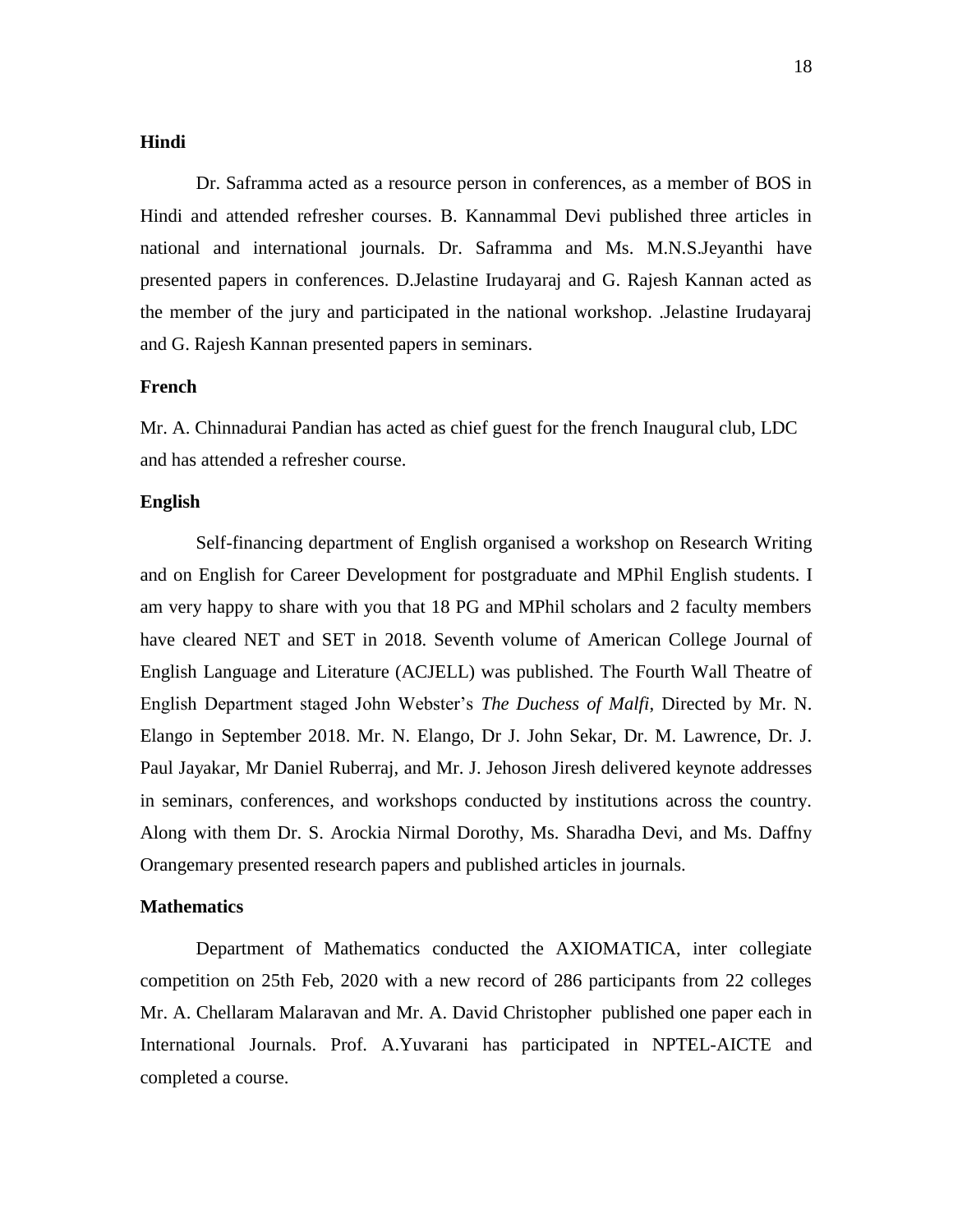## **Hindi**

Dr. Saframma acted as a resource person in conferences, as a member of BOS in Hindi and attended refresher courses. B. Kannammal Devi published three articles in national and international journals. Dr. Saframma and Ms. M.N.S.Jeyanthi have presented papers in conferences. D.Jelastine Irudayaraj and G. Rajesh Kannan acted as the member of the jury and participated in the national workshop. .Jelastine Irudayaraj and G. Rajesh Kannan presented papers in seminars.

# **French**

Mr. A. Chinnadurai Pandian has acted as chief guest for the french Inaugural club, LDC and has attended a refresher course.

#### **English**

Self-financing department of English organised a workshop on Research Writing and on English for Career Development for postgraduate and MPhil English students. I am very happy to share with you that 18 PG and MPhil scholars and 2 faculty members have cleared NET and SET in 2018. Seventh volume of American College Journal of English Language and Literature (ACJELL) was published. The Fourth Wall Theatre of English Department staged John Webster"s *The Duchess of Malfi*, Directed by Mr. N. Elango in September 2018. Mr. N. Elango, Dr J. John Sekar, Dr. M. Lawrence, Dr. J. Paul Jayakar, Mr Daniel Ruberraj, and Mr. J. Jehoson Jiresh delivered keynote addresses in seminars, conferences, and workshops conducted by institutions across the country. Along with them Dr. S. Arockia Nirmal Dorothy, Ms. Sharadha Devi, and Ms. Daffny Orangemary presented research papers and published articles in journals.

#### **Mathematics**

Department of Mathematics conducted the AXIOMATICA, inter collegiate competition on 25th Feb, 2020 with a new record of 286 participants from 22 colleges Mr. A. Chellaram Malaravan and Mr. A. David Christopher published one paper each in International Journals. Prof. A.Yuvarani has participated in NPTEL-AICTE and completed a course.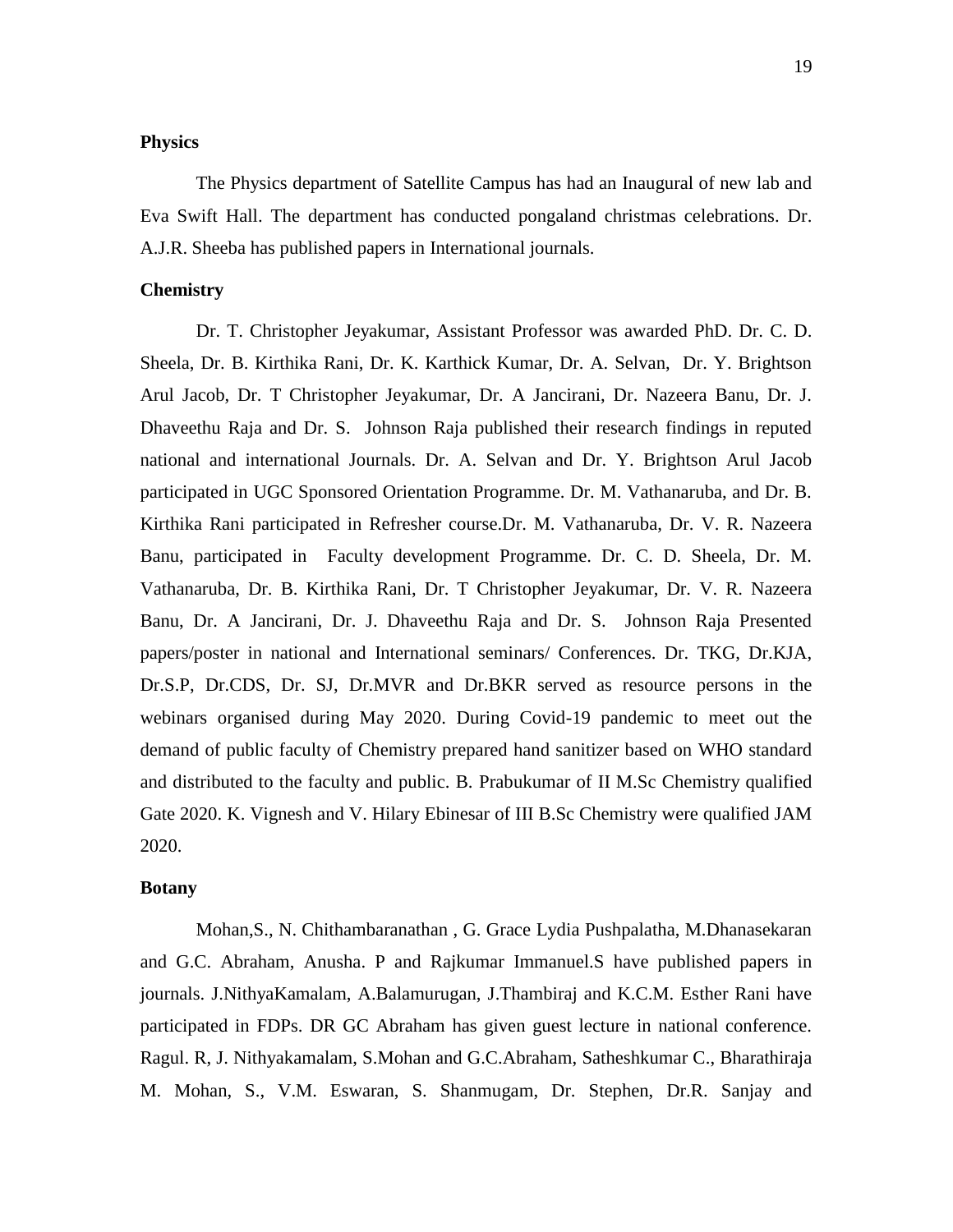## **Physics**

The Physics department of Satellite Campus has had an Inaugural of new lab and Eva Swift Hall. The department has conducted pongaland christmas celebrations. Dr. A.J.R. Sheeba has published papers in International journals.

# **Chemistry**

Dr. T. Christopher Jeyakumar, Assistant Professor was awarded PhD. Dr. C. D. Sheela, Dr. B. Kirthika Rani, Dr. K. Karthick Kumar, Dr. A. Selvan, Dr. Y. Brightson Arul Jacob, Dr. T Christopher Jeyakumar, Dr. A Jancirani, Dr. Nazeera Banu, Dr. J. Dhaveethu Raja and Dr. S. Johnson Raja published their research findings in reputed national and international Journals. Dr. A. Selvan and Dr. Y. Brightson Arul Jacob participated in UGC Sponsored Orientation Programme. Dr. M. Vathanaruba, and Dr. B. Kirthika Rani participated in Refresher course.Dr. M. Vathanaruba, Dr. V. R. Nazeera Banu, participated in Faculty development Programme. Dr. C. D. Sheela, Dr. M. Vathanaruba, Dr. B. Kirthika Rani, Dr. T Christopher Jeyakumar, Dr. V. R. Nazeera Banu, Dr. A Jancirani, Dr. J. Dhaveethu Raja and Dr. S. Johnson Raja Presented papers/poster in national and International seminars/ Conferences. Dr. TKG, Dr.KJA, Dr.S.P, Dr.CDS, Dr. SJ, Dr.MVR and Dr.BKR served as resource persons in the webinars organised during May 2020. During Covid-19 pandemic to meet out the demand of public faculty of Chemistry prepared hand sanitizer based on WHO standard and distributed to the faculty and public. B. Prabukumar of II M.Sc Chemistry qualified Gate 2020. K. Vignesh and V. Hilary Ebinesar of III B.Sc Chemistry were qualified JAM 2020.

#### **Botany**

Mohan,S., N. Chithambaranathan , G. Grace Lydia Pushpalatha, M.Dhanasekaran and G.C. Abraham, Anusha. P and Rajkumar Immanuel.S have published papers in journals. J.NithyaKamalam, A.Balamurugan, J.Thambiraj and K.C.M. Esther Rani have participated in FDPs. DR GC Abraham has given guest lecture in national conference. Ragul. R, J. Nithyakamalam, S.Mohan and G.C.Abraham, Satheshkumar C., Bharathiraja M. Mohan, S., V.M. Eswaran, S. Shanmugam, Dr. Stephen, Dr.R. Sanjay and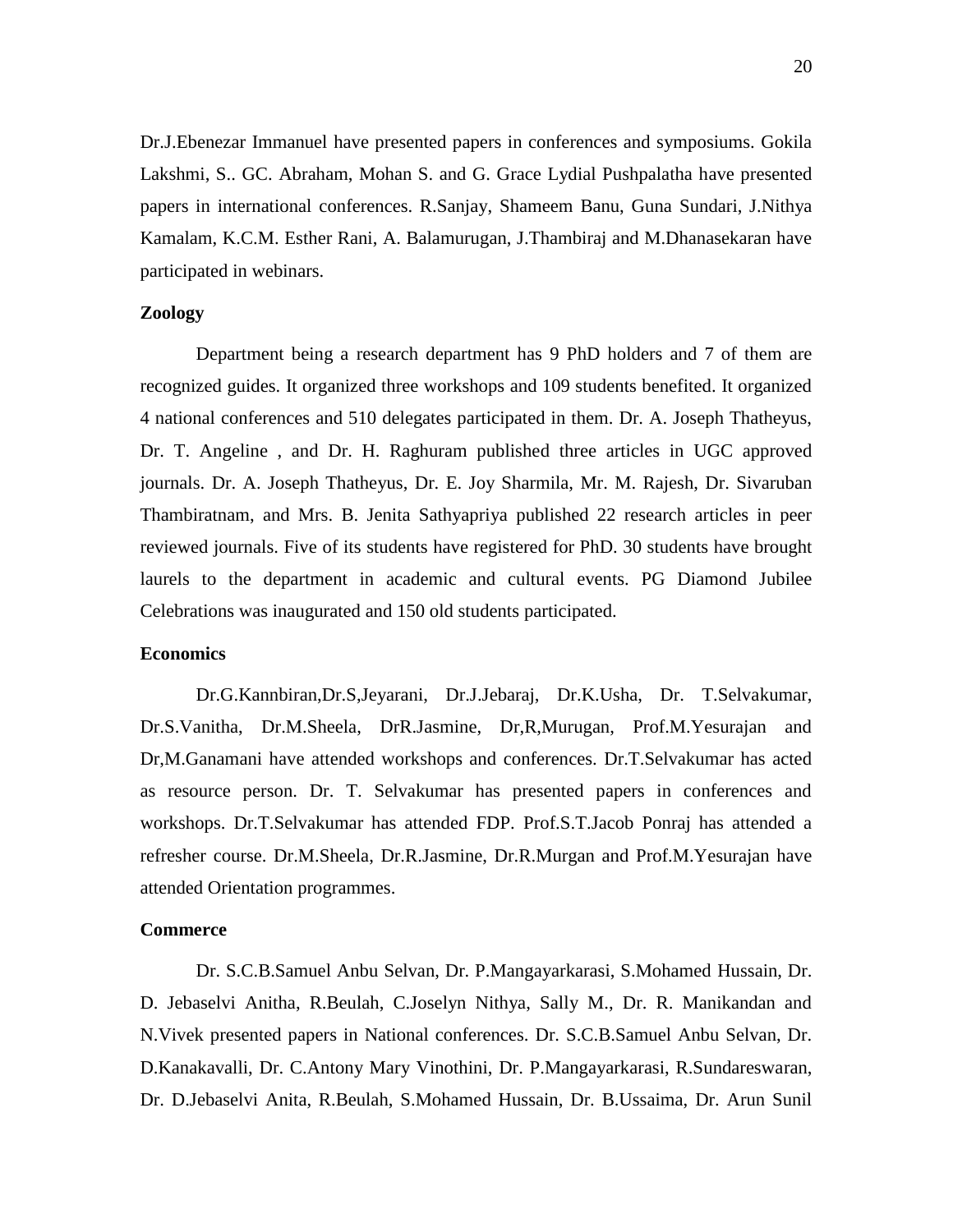Dr.J.Ebenezar Immanuel have presented papers in conferences and symposiums. Gokila Lakshmi, S.. GC. Abraham, Mohan S. and G. Grace Lydial Pushpalatha have presented papers in international conferences. R.Sanjay, Shameem Banu, Guna Sundari, J.Nithya Kamalam, K.C.M. Esther Rani, A. Balamurugan, J.Thambiraj and M.Dhanasekaran have participated in webinars.

# **Zoology**

Department being a research department has 9 PhD holders and 7 of them are recognized guides. It organized three workshops and 109 students benefited. It organized 4 national conferences and 510 delegates participated in them. Dr. A. Joseph Thatheyus, Dr. T. Angeline , and Dr. H. Raghuram published three articles in UGC approved journals. Dr. A. Joseph Thatheyus, Dr. E. Joy Sharmila, Mr. M. Rajesh, Dr. Sivaruban Thambiratnam, and Mrs. B. Jenita Sathyapriya published 22 research articles in peer reviewed journals. Five of its students have registered for PhD. 30 students have brought laurels to the department in academic and cultural events. PG Diamond Jubilee Celebrations was inaugurated and 150 old students participated.

#### **Economics**

Dr.G.Kannbiran,Dr.S,Jeyarani, Dr.J.Jebaraj, Dr.K.Usha, Dr. T.Selvakumar, Dr.S.Vanitha, Dr.M.Sheela, DrR.Jasmine, Dr,R,Murugan, Prof.M.Yesurajan and Dr,M.Ganamani have attended workshops and conferences. Dr.T.Selvakumar has acted as resource person. Dr. T. Selvakumar has presented papers in conferences and workshops. Dr.T.Selvakumar has attended FDP. Prof.S.T.Jacob Ponraj has attended a refresher course. Dr.M.Sheela, Dr.R.Jasmine, Dr.R.Murgan and Prof.M.Yesurajan have attended Orientation programmes.

#### **Commerce**

Dr. S.C.B.Samuel Anbu Selvan, Dr. P.Mangayarkarasi, S.Mohamed Hussain, Dr. D. Jebaselvi Anitha, R.Beulah, C.Joselyn Nithya, Sally M., Dr. R. Manikandan and N.Vivek presented papers in National conferences. Dr. S.C.B.Samuel Anbu Selvan, Dr. D.Kanakavalli, Dr. C.Antony Mary Vinothini, Dr. P.Mangayarkarasi, R.Sundareswaran, Dr. D.Jebaselvi Anita, R.Beulah, S.Mohamed Hussain, Dr. B.Ussaima, Dr. Arun Sunil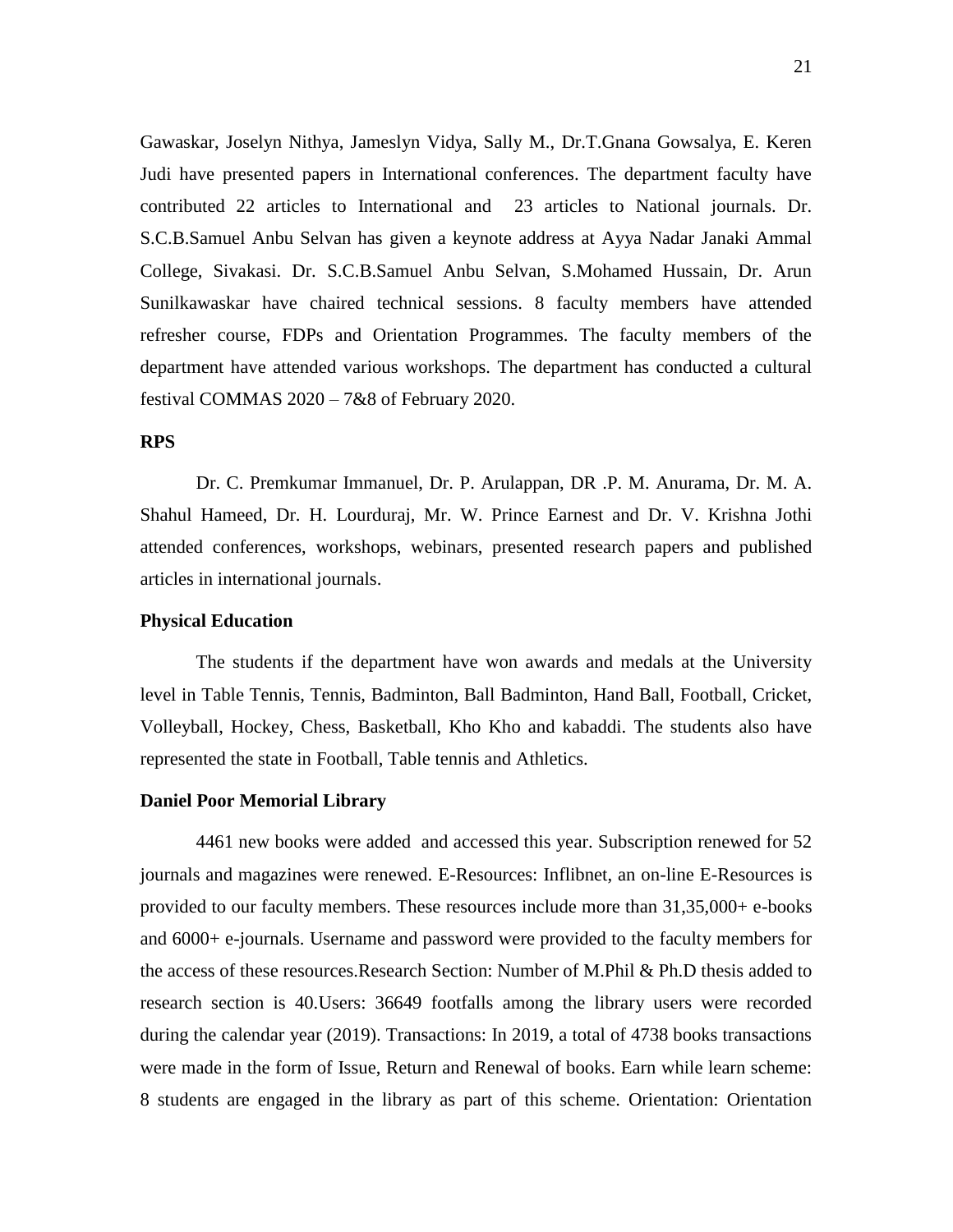Gawaskar, Joselyn Nithya, Jameslyn Vidya, Sally M., Dr.T.Gnana Gowsalya, E. Keren Judi have presented papers in International conferences. The department faculty have contributed 22 articles to International and 23 articles to National journals. Dr. S.C.B.Samuel Anbu Selvan has given a keynote address at Ayya Nadar Janaki Ammal College, Sivakasi. Dr. S.C.B.Samuel Anbu Selvan, S.Mohamed Hussain, Dr. Arun Sunilkawaskar have chaired technical sessions. 8 faculty members have attended refresher course, FDPs and Orientation Programmes. The faculty members of the department have attended various workshops. The department has conducted a cultural festival COMMAS 2020 – 7&8 of February 2020.

#### **RPS**

Dr. C. Premkumar Immanuel, Dr. P. Arulappan, DR .P. M. Anurama, Dr. M. A. Shahul Hameed, Dr. H. Lourduraj, Mr. W. Prince Earnest and Dr. V. Krishna Jothi attended conferences, workshops, webinars, presented research papers and published articles in international journals.

# **Physical Education**

The students if the department have won awards and medals at the University level in Table Tennis, Tennis, Badminton, Ball Badminton, Hand Ball, Football, Cricket, Volleyball, Hockey, Chess, Basketball, Kho Kho and kabaddi. The students also have represented the state in Football, Table tennis and Athletics.

#### **Daniel Poor Memorial Library**

4461 new books were added and accessed this year. Subscription renewed for 52 journals and magazines were renewed. E-Resources: Inflibnet, an on-line E-Resources is provided to our faculty members. These resources include more than 31,35,000+ e-books and 6000+ e-journals. Username and password were provided to the faculty members for the access of these resources.Research Section: Number of M.Phil & Ph.D thesis added to research section is 40.Users: 36649 footfalls among the library users were recorded during the calendar year (2019). Transactions: In 2019, a total of 4738 books transactions were made in the form of Issue, Return and Renewal of books. Earn while learn scheme: 8 students are engaged in the library as part of this scheme. Orientation: Orientation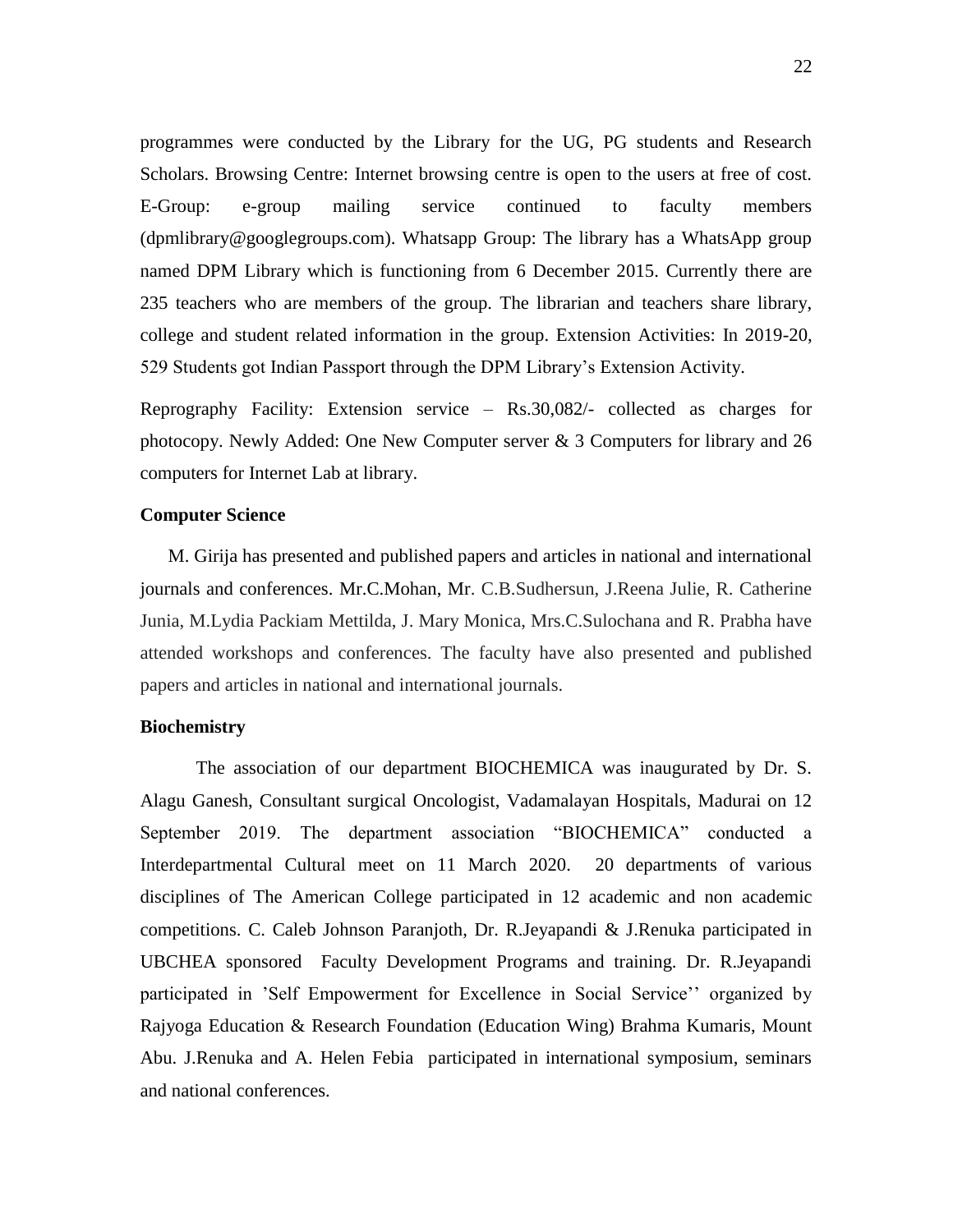programmes were conducted by the Library for the UG, PG students and Research Scholars. Browsing Centre: Internet browsing centre is open to the users at free of cost. E-Group: e-group mailing service continued to faculty members (dpmlibrary@googlegroups.com). Whatsapp Group: The library has a WhatsApp group named DPM Library which is functioning from 6 December 2015. Currently there are 235 teachers who are members of the group. The librarian and teachers share library, college and student related information in the group. Extension Activities: In 2019-20, 529 Students got Indian Passport through the DPM Library"s Extension Activity.

Reprography Facility: Extension service – Rs.30,082/- collected as charges for photocopy. Newly Added: One New Computer server & 3 Computers for library and 26 computers for Internet Lab at library.

# **Computer Science**

M. Girija has presented and published papers and articles in national and international journals and conferences. Mr.C.Mohan, Mr. C.B.Sudhersun, J.Reena Julie, R. Catherine Junia, M.Lydia Packiam Mettilda, J. Mary Monica, Mrs.C.Sulochana and R. Prabha have attended workshops and conferences. The faculty have also presented and published papers and articles in national and international journals.

# **Biochemistry**

The association of our department BIOCHEMICA was inaugurated by Dr. S. Alagu Ganesh, Consultant surgical Oncologist, Vadamalayan Hospitals, Madurai on 12 September 2019. The department association "BIOCHEMICA" conducted a Interdepartmental Cultural meet on 11 March 2020. 20 departments of various disciplines of The American College participated in 12 academic and non academic competitions. C. Caleb Johnson Paranjoth, Dr. R.Jeyapandi & J.Renuka participated in UBCHEA sponsored Faculty Development Programs and training. Dr. R.Jeyapandi participated in "Self Empowerment for Excellence in Social Service"" organized by Rajyoga Education & Research Foundation (Education Wing) Brahma Kumaris, Mount Abu. J.Renuka and A. Helen Febia participated in international symposium, seminars and national conferences.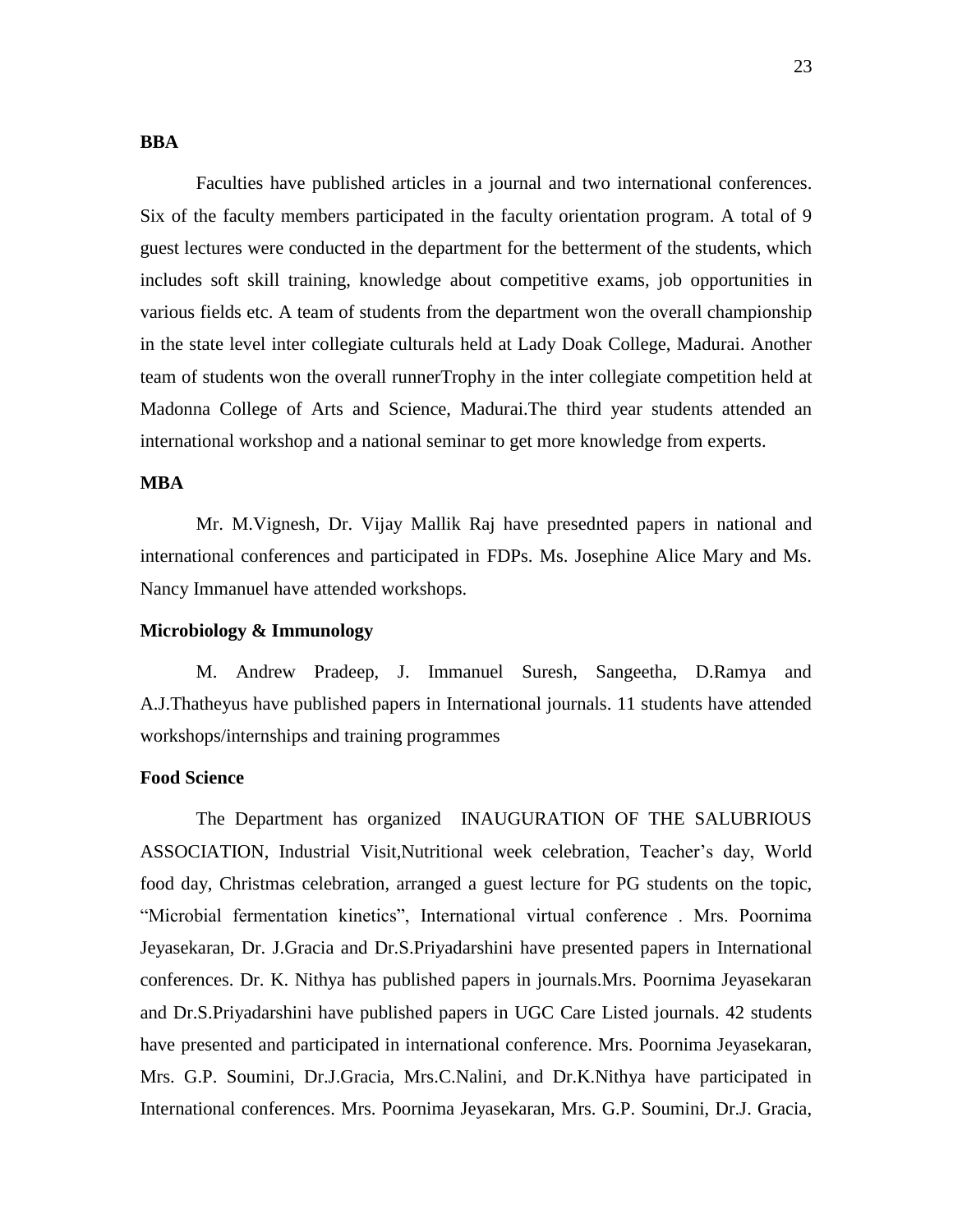# **BBA**

Faculties have published articles in a journal and two international conferences. Six of the faculty members participated in the faculty orientation program. A total of 9 guest lectures were conducted in the department for the betterment of the students, which includes soft skill training, knowledge about competitive exams, job opportunities in various fields etc. A team of students from the department won the overall championship in the state level inter collegiate culturals held at Lady Doak College, Madurai. Another team of students won the overall runnerTrophy in the inter collegiate competition held at Madonna College of Arts and Science, Madurai.The third year students attended an international workshop and a national seminar to get more knowledge from experts.

# **MBA**

Mr. M.Vignesh, Dr. Vijay Mallik Raj have presednted papers in national and international conferences and participated in FDPs. Ms. Josephine Alice Mary and Ms. Nancy Immanuel have attended workshops.

# **Microbiology & Immunology**

M. Andrew Pradeep, J. Immanuel Suresh, Sangeetha, D.Ramya and A.J.Thatheyus have published papers in International journals. 11 students have attended workshops/internships and training programmes

# **Food Science**

The Department has organized INAUGURATION OF THE SALUBRIOUS ASSOCIATION, Industrial Visit, Nutritional week celebration, Teacher's day, World food day, Christmas celebration, arranged a guest lecture for PG students on the topic, "Microbial fermentation kinetics", International virtual conference . Mrs. Poornima Jeyasekaran, Dr. J.Gracia and Dr.S.Priyadarshini have presented papers in International conferences. Dr. K. Nithya has published papers in journals.Mrs. Poornima Jeyasekaran and Dr.S.Priyadarshini have published papers in UGC Care Listed journals. 42 students have presented and participated in international conference. Mrs. Poornima Jeyasekaran, Mrs. G.P. Soumini, Dr.J.Gracia, Mrs.C.Nalini, and Dr.K.Nithya have participated in International conferences. Mrs. Poornima Jeyasekaran, Mrs. G.P. Soumini, Dr.J. Gracia,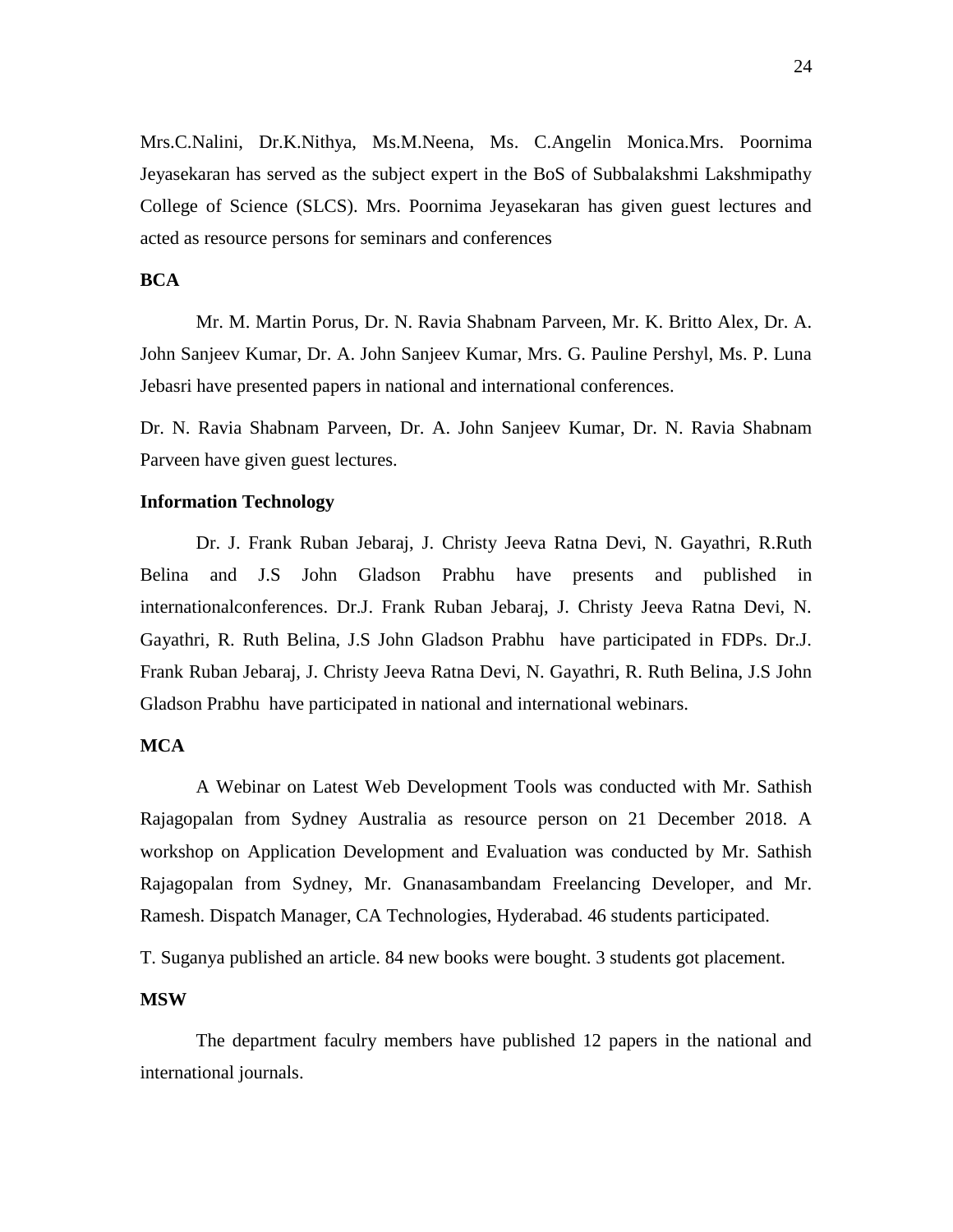Mrs.C.Nalini, Dr.K.Nithya, Ms.M.Neena, Ms. C.Angelin Monica.Mrs. Poornima Jeyasekaran has served as the subject expert in the BoS of Subbalakshmi Lakshmipathy College of Science (SLCS). Mrs. Poornima Jeyasekaran has given guest lectures and acted as resource persons for seminars and conferences

# **BCA**

Mr. M. Martin Porus, Dr. N. Ravia Shabnam Parveen, Mr. K. Britto Alex, Dr. A. John Sanjeev Kumar, Dr. A. John Sanjeev Kumar, Mrs. G. Pauline Pershyl, Ms. P. Luna Jebasri have presented papers in national and international conferences.

Dr. N. Ravia Shabnam Parveen, Dr. A. John Sanjeev Kumar, Dr. N. Ravia Shabnam Parveen have given guest lectures.

#### **Information Technology**

Dr. J. Frank Ruban Jebaraj, J. Christy Jeeva Ratna Devi, N. Gayathri, R.Ruth Belina and J.S John Gladson Prabhu have presents and published in internationalconferences. Dr.J. Frank Ruban Jebaraj, J. Christy Jeeva Ratna Devi, N. Gayathri, R. Ruth Belina, J.S John Gladson Prabhu have participated in FDPs. Dr.J. Frank Ruban Jebaraj, J. Christy Jeeva Ratna Devi, N. Gayathri, R. Ruth Belina, J.S John Gladson Prabhu have participated in national and international webinars.

# **MCA**

A Webinar on Latest Web Development Tools was conducted with Mr. Sathish Rajagopalan from Sydney Australia as resource person on 21 December 2018. A workshop on Application Development and Evaluation was conducted by Mr. Sathish Rajagopalan from Sydney, Mr. Gnanasambandam Freelancing Developer, and Mr. Ramesh. Dispatch Manager, CA Technologies, Hyderabad. 46 students participated.

T. Suganya published an article. 84 new books were bought. 3 students got placement.

# **MSW**

The department faculry members have published 12 papers in the national and international journals.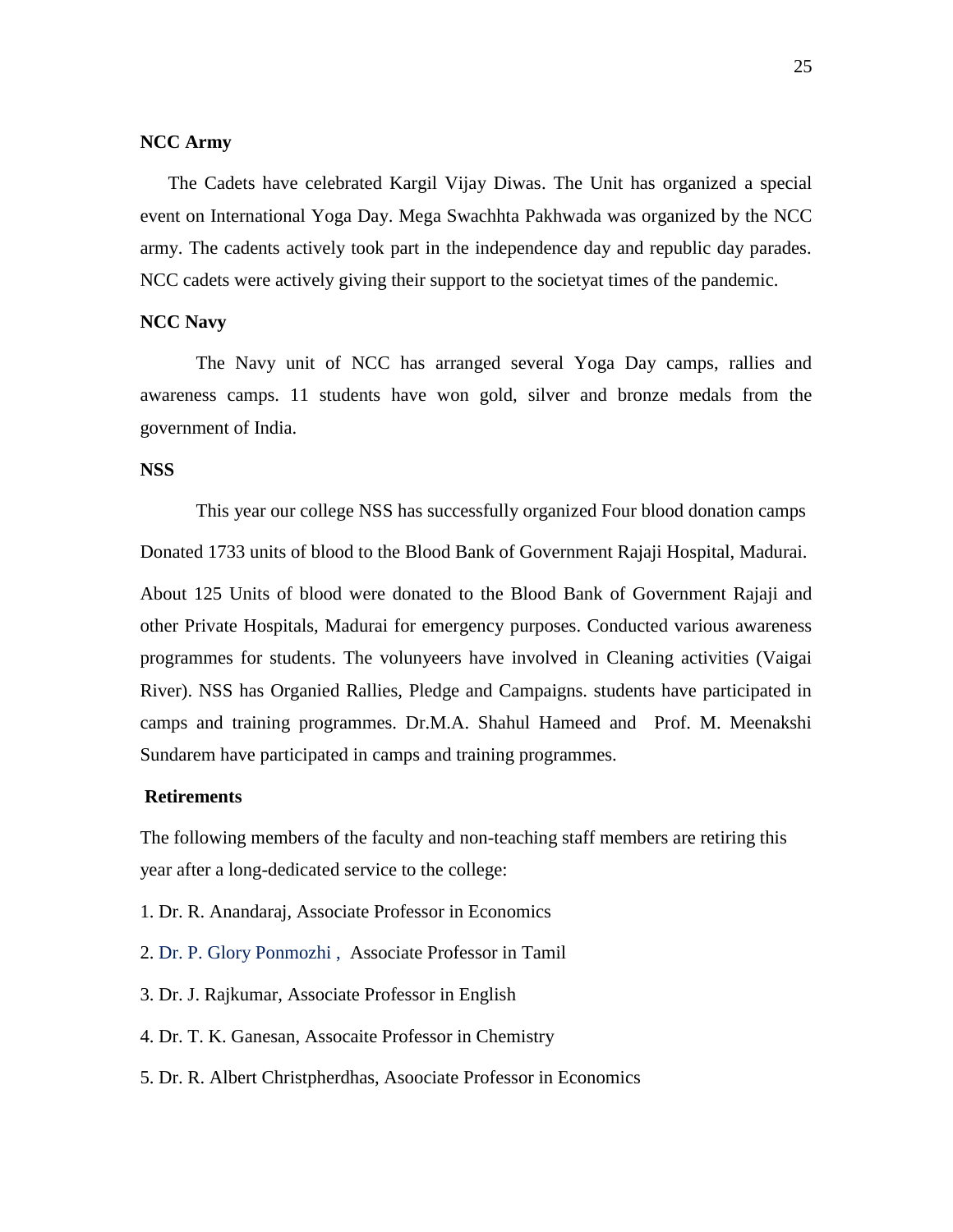#### **NCC Army**

The Cadets have celebrated Kargil Vijay Diwas. The Unit has organized a special event on International Yoga Day. Mega Swachhta Pakhwada was organized by the NCC army. The cadents actively took part in the independence day and republic day parades. NCC cadets were actively giving their support to the societyat times of the pandemic.

# **NCC Navy**

The Navy unit of NCC has arranged several Yoga Day camps, rallies and awareness camps. 11 students have won gold, silver and bronze medals from the government of India.

#### **NSS**

This year our college NSS has successfully organized Four blood donation camps Donated 1733 units of blood to the Blood Bank of Government Rajaji Hospital, Madurai. About 125 Units of blood were donated to the Blood Bank of Government Rajaji and other Private Hospitals, Madurai for emergency purposes. Conducted various awareness programmes for students. The volunyeers have involved in Cleaning activities (Vaigai River). NSS has Organied Rallies, Pledge and Campaigns. students have participated in camps and training programmes. Dr.M.A. Shahul Hameed and Prof. M. Meenakshi Sundarem have participated in camps and training programmes.

#### **Retirements**

The following members of the faculty and non-teaching staff members are retiring this year after a long-dedicated service to the college:

- 1. Dr. R. Anandaraj, Associate Professor in Economics
- 2. Dr. P. Glory Ponmozhi , Associate Professor in Tamil
- 3. Dr. J. Rajkumar, Associate Professor in English
- 4. Dr. T. K. Ganesan, Assocaite Professor in Chemistry
- 5. Dr. R. Albert Christpherdhas, Asoociate Professor in Economics